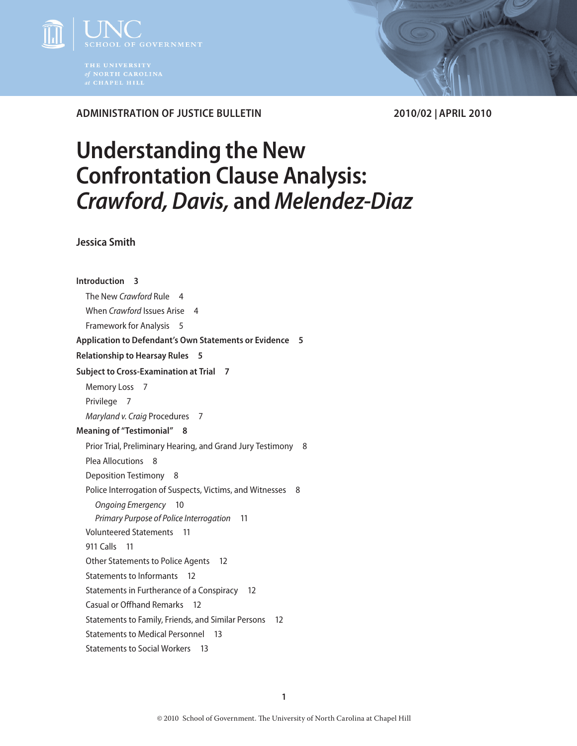

**Administration of Justice Bulletin 2010/02 | April 2010**

# **Understanding the New Confrontation Clause Analysis:**  *Crawford, Davis,* **and** *Melendez-Diaz*

**Jessica Smith**

**[Introduction](#page-2-0) 3** [The New](#page-3-0) *Crawford* Rule 4 When *Crawford* [Issues Arise](#page-3-0) 4 [Framework for Analysis](#page-4-0) 5 **[Application to Defendant's Own Statements or Evidence](#page-4-0) 5 [Relationship to Hearsay Rules](#page-4-0) 5 [Subject to Cross-Examination at Trial](#page-6-0) 7** [Memory Loss](#page-6-0) 7 [Privilege](#page-6-0) 7 *[Maryland v. Craig](#page-6-0)* Procedures 7 **[Meaning of "Testimonial"](#page-7-0) 8** [Prior Trial, Preliminary Hearing, and Grand Jury Testimony](#page-7-0) 8 [Plea Allocutions](#page-7-0) 8 [Deposition Testimony](#page-7-0) 8 [Police Interrogation of Suspects, Victims, and Witnesses](#page-7-0) 8 *[Ongoing Emergency](#page-9-0)* 10 *[Primary Purpose of Police Interrogation](#page-10-0)* 11 [Volunteered Statements](#page-10-0) 11 [911 Calls](#page-10-0) 11 [Other Statements to Police Agents](#page-11-0) 12 [Statements to Informants](#page-11-0) 12 [Statements in Furtherance of a Conspiracy](#page-11-0) 12 [Casual or Offhand Remarks](#page-11-0) 12 [Statements to Family, Friends, and Similar Persons](#page-11-0) 12 [Statements to Medical Personnel](#page-12-0) 13 [Statements to Social Workers](#page-12-0) 13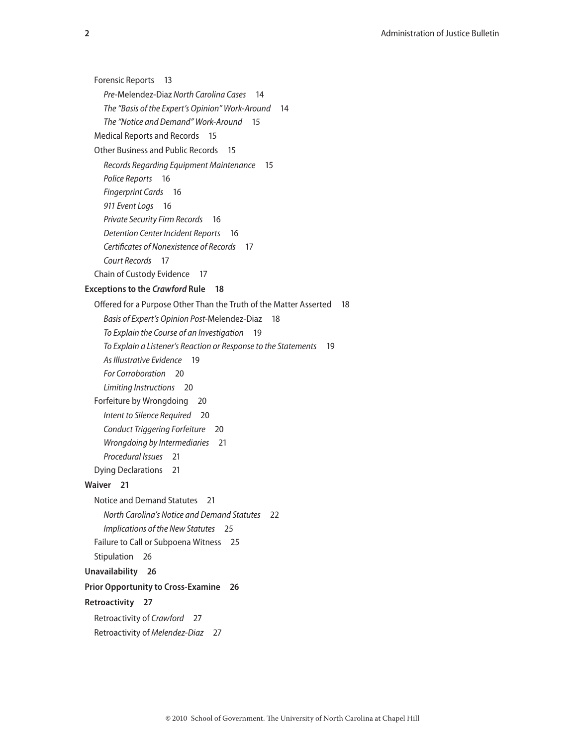[Forensic Reports](#page-12-0) 13 *Pre-*Melendez-Diaz *[North Carolina Cases](#page-13-0)* 14 *[The "Basis of the Expert's Opinion" Work-Around](#page-13-0)* 14 *[The "Notice and Demand" Work-Around](#page-14-0)* 15 [Medical Reports and Records](#page-14-0) 15 [Other Business and Public Records](#page-14-0) 15 *[Records Regarding Equipment Maintenance](#page-14-0)* 15 *[Police Reports](#page-15-0)* 16 *[Fingerprint Cards](#page-15-0)* 16 *[911 Event Logs](#page-15-0)* 16 *[Private Security Firm Records](#page-15-0)* 16 *[Detention Center Incident Reports](#page-15-0)* 16 *[Certificates of Nonexistence of Records](#page-16-0)* 17 *[Court Records](#page-16-0)* 17 [Chain of Custody Evidence](#page-16-0) 17 **[Exceptions to the](#page-17-0)** *Crawford* **Rule 18** [Offered for a Purpose Other Than the Truth of the Matter Asserted](#page-17-0) 18 *[Basis of Expert's Opinion Post-](#page-17-0)*Melendez-Diaz 18 *[To Explain the Course of an Investigation](#page-18-0)* 19 *[To Explain a Listener's Reaction or Response to the Statements](#page-18-0)* 19 *[As Illustrative Evidence](#page-18-0)* 19 *[For Corroboration](#page-19-0)* 20 *[Limiting Instructions](#page-19-0)* 20 [Forfeiture by Wrongdoing](#page-19-0) 20 *[Intent to Silence Required](#page-19-0)* 20 *[Conduct Triggering Forfeiture](#page-19-0)* 20 *[Wrongdoing by Intermediaries](#page-20-0)* 21 *[Procedural Issues](#page-20-0)* 21 [Dying Declarations](#page-20-0) 21 **[Waiver](#page-20-0) 21** [Notice and Demand Statutes](#page-20-0) 21 *[North Carolina's Notice and Demand Statutes](#page-21-0)* 22 *[Implications of the New Statutes](#page-24-0)* 25 [Failure to Call or Subpoena Witness](#page-24-0) 25 [Stipulation](#page-25-0) 26 **[Unavailability](#page-25-0) 26 [Prior Opportunity to Cross-Examine](#page-25-0) 26 [Retroactivity](#page-26-0) 27** [Retroactivity of](#page-26-0) *Crawford* 27 [Retroactivity of](#page-26-0) *Melendez-Diaz* 27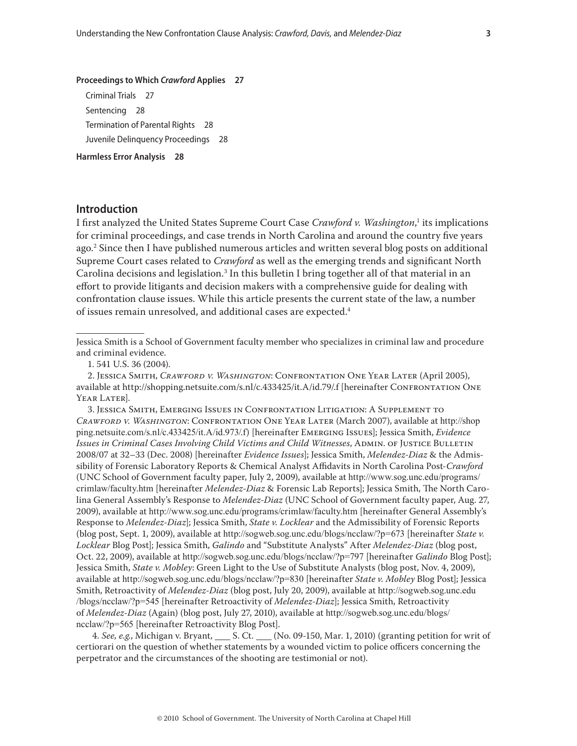#### <span id="page-2-0"></span>**[Proceedings to Which](#page-26-0)** *Crawford* **Applies 27**

[Criminal Trials](#page-26-0) 27 [Sentencing](#page-27-0) 28 [Termination of Parental Rights](#page-27-0) 28 [Juvenile Delinquency Proceedings](#page-27-0) 28

**[Harmless Error Analysis](#page-27-0) 28**

# **Introduction**

I first analyzed the United States Supreme Court Case *Crawford v. Washington,*<sup>1</sup> its implications for criminal proceedings, and case trends in North Carolina and around the country five years ago.2 Since then I have published numerous articles and written several blog posts on additional Supreme Court cases related to *Crawford* as well as the emerging trends and significant North Carolina decisions and legislation. $^3$  In this bulletin I bring together all of that material in an effort to provide litigants and decision makers with a comprehensive guide for dealing with confrontation clause issues. While this article presents the current state of the law, a number of issues remain unresolved, and additional cases are expected.<sup>4</sup>

Jessica Smith is a School of Government faculty member who specializes in criminal law and procedure and criminal evidence.

2. Jessica Smith, *Crawford v. Washington*: Confrontation One Year Later (April 2005), available at http://shopping.netsuite.com/s.nl/c.433425/it.A/id.79/.f [hereinafter Confrontation One YEAR LATER].

3. Jessica Smith, Emerging Issues in Confrontation Litigation: A Supplement to *Crawford v. Washington*: Confrontation One Year Later (March 2007), available at http://shop ping.netsuite.com/s.nl/c.433425/it.A/id.973/.f) [hereinafter Emerging Issues]; Jessica Smith, *Evidence Issues in Criminal Cases Involving Child Victims and Child Witnesses*, ADMIN. OF JUSTICE BULLETIN 2008/07 at 32–33 (Dec. 2008) [hereinafter *Evidence Issues*]; Jessica Smith, *Melendez-Diaz* & the Admissibility of Forensic Laboratory Reports & Chemical Analyst Affidavits in North Carolina Post-*Crawford* (UNC School of Government faculty paper, July 2, 2009), available at http://www.sog.unc.edu/programs/ crimlaw/faculty.htm [hereinafter *Melendez-Diaz* & Forensic Lab Reports]; Jessica Smith, The North Carolina General Assembly's Response to *Melendez-Diaz* (UNC School of Government faculty paper, Aug. 27, 2009), available at http://www.sog.unc.edu/programs/crimlaw/faculty.htm [hereinafter General Assembly's Response to *Melendez-Diaz*]; Jessica Smith, *State v. Locklear* and the Admissibility of Forensic Reports (blog post, Sept. 1, 2009), available at http://sogweb.sog.unc.edu/blogs/ncclaw/?p=673 [hereinafter *State v. Locklear* Blog Post]; Jessica Smith, *Galindo* and "Substitute Analysts" After *Melendez-Diaz* (blog post, Oct. 22, 2009), available at http://sogweb.sog.unc.edu/blogs/ncclaw/?p=797 [hereinafter *Galindo* Blog Post]; Jessica Smith, *State v. Mobley*: Green Light to the Use of Substitute Analysts (blog post, Nov. 4, 2009), available at http://sogweb.sog.unc.edu/blogs/ncclaw/?p=830 [hereinafter *State v. Mobley* Blog Post]; Jessica Smith, Retroactivity of *Melendez-Diaz* (blog post, July 20, 2009), available at http://sogweb.sog.unc.edu /blogs/ncclaw/?p=545 [hereinafter Retroactivity of *Melendez-Diaz*]; Jessica Smith, Retroactivity of *Melendez-Diaz* (Again) (blog post, July 27, 2010), available at http://sogweb.sog.unc.edu/blogs/ ncclaw/?p=565 [hereinafter Retroactivity Blog Post].

4. See, e.g., Michigan v. Bryant, S. Ct. (No. 09-150, Mar. 1, 2010) (granting petition for writ of certiorari on the question of whether statements by a wounded victim to police officers concerning the perpetrator and the circumstances of the shooting are testimonial or not).

<sup>1. 541</sup> U.S. 36 (2004).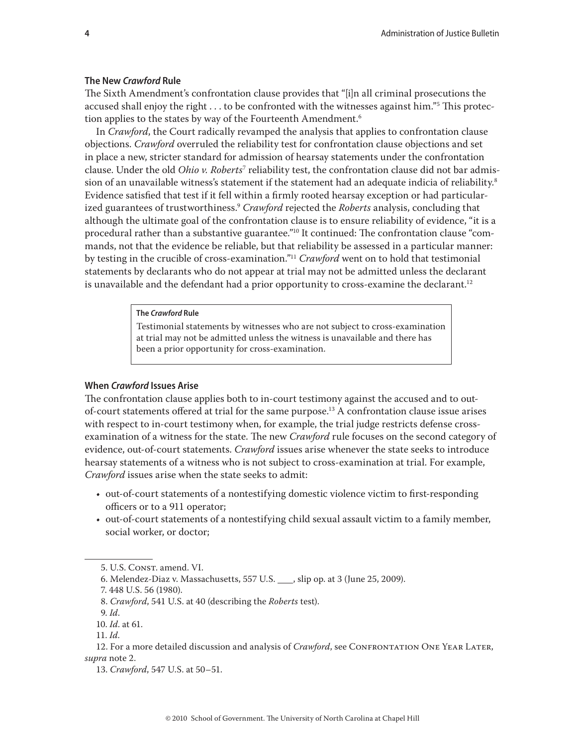## <span id="page-3-0"></span>**The New** *Crawford* **Rule**

The Sixth Amendment's confrontation clause provides that "[i]n all criminal prosecutions the accused shall enjoy the right  $\ldots$  to be confronted with the witnesses against him." $^{\rm 5}$  This protection applies to the states by way of the Fourteenth Amendment.<sup>6</sup>

In *Crawford*, the Court radically revamped the analysis that applies to confrontation clause objections. *Crawford* overruled the reliability test for confrontation clause objections and set in place a new, stricter standard for admission of hearsay statements under the confrontation clause. Under the old *Ohio v. Roberts*<sup>7</sup> reliability test, the confrontation clause did not bar admission of an unavailable witness's statement if the statement had an adequate indicia of reliability.<sup>8</sup> Evidence satisfied that test if it fell within a firmly rooted hearsay exception or had particularized guarantees of trustworthiness.9 *Crawford* rejected the *Roberts* analysis, concluding that although the ultimate goal of the confrontation clause is to ensure reliability of evidence, "it is a procedural rather than a substantive guarantee."10 It continued: The confrontation clause "commands, not that the evidence be reliable, but that reliability be assessed in a particular manner: by testing in the crucible of cross-examination."11 *Crawford* went on to hold that testimonial statements by declarants who do not appear at trial may not be admitted unless the declarant is unavailable and the defendant had a prior opportunity to cross-examine the declarant.<sup>12</sup>

## **The** *Crawford* **Rule**

Testimonial statements by witnesses who are not subject to cross-examination at trial may not be admitted unless the witness is unavailable and there has been a prior opportunity for cross-examination.

## **When** *Crawford* **Issues Arise**

The confrontation clause applies both to in-court testimony against the accused and to outof-court statements offered at trial for the same purpose.13 A confrontation clause issue arises with respect to in-court testimony when, for example, the trial judge restricts defense crossexamination of a witness for the state. The new *Crawford* rule focuses on the second category of evidence, out-of-court statements. *Crawford* issues arise whenever the state seeks to introduce hearsay statements of a witness who is not subject to cross-examination at trial. For example, *Crawford* issues arise when the state seeks to admit:

- out-of-court statements of a nontestifying domestic violence victim to first-responding officers or to a 911 operator;
- out-of-court statements of a nontestifying child sexual assault victim to a family member, social worker, or doctor;

<sup>5.</sup> U.S. CONST. amend. VI.

<sup>6.</sup> Melendez-Diaz v. Massachusetts, 557 U.S. Sip op. at 3 (June 25, 2009).

<sup>7. 448</sup> U.S. 56 (1980).

<sup>8.</sup> *Crawford*, 541 U.S. at 40 (describing the *Roberts* test).

<sup>9.</sup> *Id*.

<sup>10.</sup> *Id*. at 61.

<sup>11.</sup> *Id*.

<sup>12.</sup> For a more detailed discussion and analysis of *Crawford*, see CONFRONTATION ONE YEAR LATER, *supra* note 2.

<sup>13.</sup> *Crawford*, 547 U.S. at 50–51.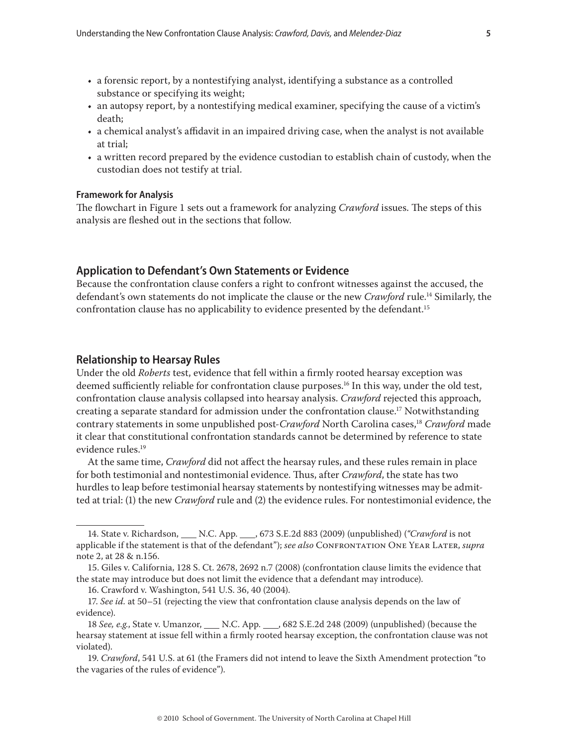- <span id="page-4-0"></span>• a forensic report, by a nontestifying analyst, identifying a substance as a controlled substance or specifying its weight;
- an autopsy report, by a nontestifying medical examiner, specifying the cause of a victim's death;
- a chemical analyst's affidavit in an impaired driving case, when the analyst is not available at trial;
- a written record prepared by the evidence custodian to establish chain of custody, when the custodian does not testify at trial.

## **Framework for Analysis**

The flowchart in Figure 1 sets out a framework for analyzing *Crawford* issues. The steps of this analysis are fleshed out in the sections that follow.

# **Application to Defendant's Own Statements or Evidence**

Because the confrontation clause confers a right to confront witnesses against the accused, the defendant's own statements do not implicate the clause or the new *Crawford* rule.14 Similarly, the confrontation clause has no applicability to evidence presented by the defendant.15

## **Relationship to Hearsay Rules**

Under the old *Roberts* test, evidence that fell within a firmly rooted hearsay exception was deemed sufficiently reliable for confrontation clause purposes.<sup>16</sup> In this way, under the old test, confrontation clause analysis collapsed into hearsay analysis. *Crawford* rejected this approach, creating a separate standard for admission under the confrontation clause.17 Notwithstanding contrary statements in some unpublished post-*Crawford* North Carolina cases,18 *Crawford* made it clear that constitutional confrontation standards cannot be determined by reference to state evidence rules.19

At the same time, *Crawford* did not affect the hearsay rules, and these rules remain in place for both testimonial and nontestimonial evidence. Thus, after *Crawford*, the state has two hurdles to leap before testimonial hearsay statements by nontestifying witnesses may be admitted at trial: (1) the new *Crawford* rule and (2) the evidence rules. For nontestimonial evidence, the

16. Crawford v. Washington, 541 U.S. 36, 40 (2004).

<sup>14.</sup> State v. Richardson, \_\_\_ N.C. App. \_\_\_, 673 S.E.2d 883 (2009) (unpublished) ("Crawford is not applicable if the statement is that of the defendant"); *see also* CONFRONTATION ONE YEAR LATER, *supra* note 2, at 28 & n.156.

<sup>15.</sup> Giles v. California, 128 S. Ct. 2678, 2692 n.7 (2008) (confrontation clause limits the evidence that the state may introduce but does not limit the evidence that a defendant may introduce).

<sup>17.</sup> *See id.* at 50–51 (rejecting the view that confrontation clause analysis depends on the law of evidence).

<sup>18</sup> *See, e.g.*, State v. Umanzor, \_\_\_\_ N.C. App. \_\_\_, 682 S.E.2d 248 (2009) (unpublished) (because the hearsay statement at issue fell within a firmly rooted hearsay exception, the confrontation clause was not violated).

<sup>19.</sup> *Crawford*, 541 U.S. at 61 (the Framers did not intend to leave the Sixth Amendment protection "to the vagaries of the rules of evidence").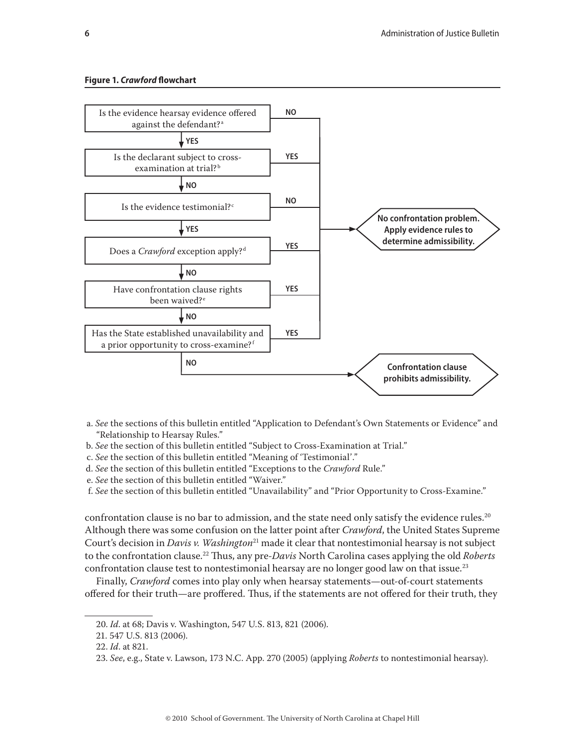#### **Figure 1.** *Crawford* **flowchart**



- a. *See* the sections of this bulletin entitled "Application to Defendant's Own Statements or Evidence" and "Relationship to Hearsay Rules."
- b. *See* the section of this bulletin entitled "Subject to Cross-Examination at Trial."
- c. *See* the section of this bulletin entitled "Meaning of 'Testimonial'."
- d. *See* the section of this bulletin entitled "Exceptions to the *Crawford* Rule."
- e. *See* the section of this bulletin entitled "Waiver."
- f. *See* the section of this bulletin entitled "Unavailability" and "Prior Opportunity to Cross-Examine."

confrontation clause is no bar to admission, and the state need only satisfy the evidence rules.<sup>20</sup> Although there was some confusion on the latter point after *Crawford*, the United States Supreme Court's decision in *Davis v. Washington*21 made it clear that nontestimonial hearsay is not subject to the confrontation clause.22 Thus, any pre-*Davis* North Carolina cases applying the old *Roberts*  confrontation clause test to nontestimonial hearsay are no longer good law on that issue.<sup>23</sup>

Finally, *Crawford* comes into play only when hearsay statements—out-of-court statements offered for their truth—are proffered. Thus, if the statements are not offered for their truth, they

<sup>20.</sup> *Id*. at 68; Davis v. Washington, 547 U.S. 813, 821 (2006).

<sup>21. 547</sup> U.S. 813 (2006).

<sup>22.</sup> *Id*. at 821.

<sup>23.</sup> *See*, e.g., State v. Lawson, 173 N.C. App. 270 (2005) (applying *Roberts* to nontestimonial hearsay).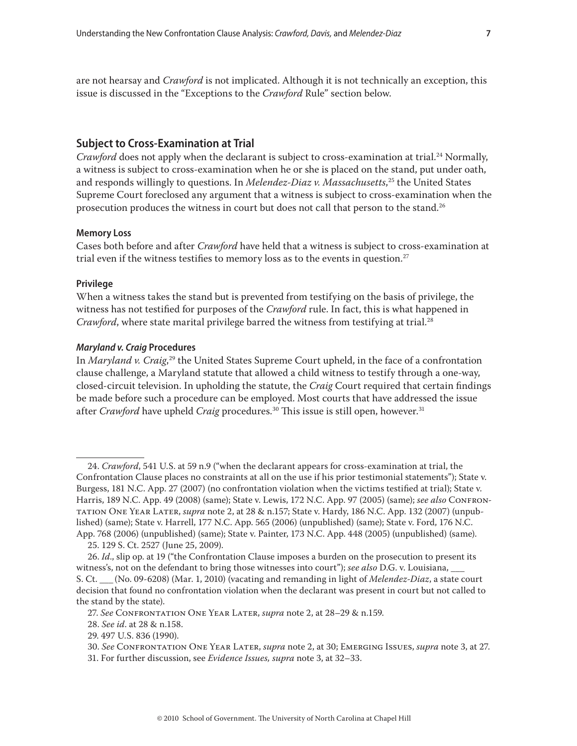<span id="page-6-0"></span>are not hearsay and *Crawford* is not implicated. Although it is not technically an exception, this issue is discussed in the "Exceptions to the *Crawford* Rule" section below.

## **Subject to Cross-Examination at Trial**

*Crawford* does not apply when the declarant is subject to cross-examination at trial.<sup>24</sup> Normally, a witness is subject to cross-examination when he or she is placed on the stand, put under oath, and responds willingly to questions. In *Melendez-Diaz v. Massachusetts*, 25 the United States Supreme Court foreclosed any argument that a witness is subject to cross-examination when the prosecution produces the witness in court but does not call that person to the stand.<sup>26</sup>

## **Memory Loss**

Cases both before and after *Crawford* have held that a witness is subject to cross-examination at trial even if the witness testifies to memory loss as to the events in question.<sup>27</sup>

## **Privilege**

When a witness takes the stand but is prevented from testifying on the basis of privilege, the witness has not testified for purposes of the *Crawford* rule. In fact, this is what happened in *Crawford*, where state marital privilege barred the witness from testifying at trial.<sup>28</sup>

## *Maryland v. Craig* **Procedures**

In *Maryland v. Craig*, 29 the United States Supreme Court upheld, in the face of a confrontation clause challenge, a Maryland statute that allowed a child witness to testify through a one-way, closed-circuit television. In upholding the statute, the *Craig* Court required that certain findings be made before such a procedure can be employed. Most courts that have addressed the issue after *Crawford* have upheld *Craig* procedures.<sup>30</sup> This issue is still open, however.<sup>31</sup>

<sup>24.</sup> *Crawford*, 541 U.S. at 59 n.9 ("when the declarant appears for cross-examination at trial, the Confrontation Clause places no constraints at all on the use if his prior testimonial statements"); State v. Burgess, 181 N.C. App. 27 (2007) (no confrontation violation when the victims testified at trial); State v. Harris, 189 N.C. App. 49 (2008) (same); State v. Lewis, 172 N.C. App. 97 (2005) (same); *see also* Confrontation One Year Later, *supra* note 2, at 28 & n.157; State v. Hardy, 186 N.C. App. 132 (2007) (unpublished) (same); State v. Harrell, 177 N.C. App. 565 (2006) (unpublished) (same); State v. Ford, 176 N.C. App. 768 (2006) (unpublished) (same); State v. Painter, 173 N.C. App. 448 (2005) (unpublished) (same).

<sup>25. 129</sup> S. Ct. 2527 (June 25, 2009).

<sup>26.</sup> *Id*., slip op. at 19 ("the Confrontation Clause imposes a burden on the prosecution to present its witness's, not on the defendant to bring those witnesses into court"); *see also* D.G. v. Louisiana, \_\_\_ S. Ct. \_\_\_ (No. 09-6208) (Mar. 1, 2010) (vacating and remanding in light of *Melendez-Diaz*, a state court decision that found no confrontation violation when the declarant was present in court but not called to the stand by the state).

<sup>27.</sup> *See* Confrontation One Year Later, *supra* note 2, at 28–29 & n.159.

<sup>28.</sup> *See id*. at 28 & n.158.

<sup>29. 497</sup> U.S. 836 (1990).

<sup>30.</sup> *See* Confrontation One Year Later, *supra* note 2, at 30; Emerging Issues, *supra* note 3, at 27.

<sup>31.</sup> For further discussion, see *Evidence Issues, supra* note 3, at 32–33.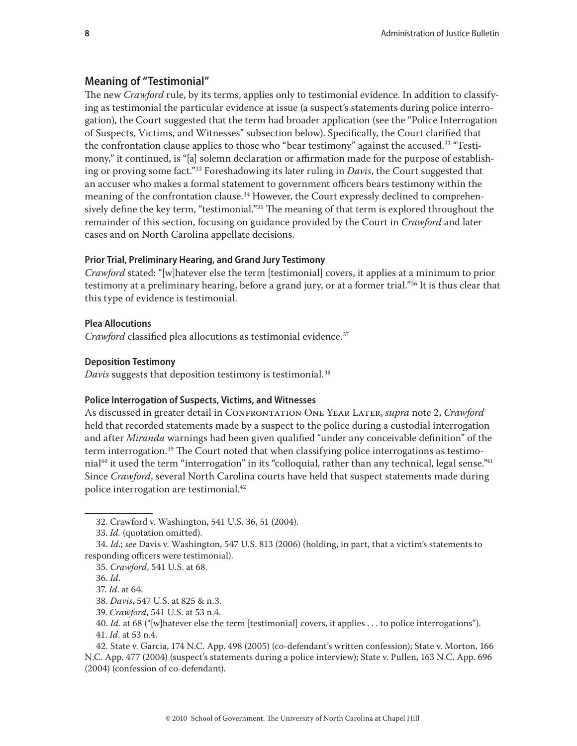# <span id="page-7-0"></span>**Meaning of "Testimonial"**

The new *Crawford* rule, by its terms, applies only to testimonial evidence. In addition to classifying as testimonial the particular evidence at issue (a suspect's statements during police interrogation), the Court suggested that the term had broader application (see the "Police Interrogation of Suspects, Victims, and Witnesses" subsection below). Specifically, the Court clarified that the confrontation clause applies to those who "bear testimony" against the accused.<sup>32</sup> "Testimony," it continued, is "[a] solemn declaration or affirmation made for the purpose of establishing or proving some fact."33 Foreshadowing its later ruling in *Davis*, the Court suggested that an accuser who makes a formal statement to government officers bears testimony within the meaning of the confrontation clause.<sup>34</sup> However, the Court expressly declined to comprehensively define the key term, "testimonial."<sup>35</sup> The meaning of that term is explored throughout the remainder of this section, focusing on guidance provided by the Court in *Crawford* and later cases and on North Carolina appellate decisions.

## **Prior Trial, Preliminary Hearing, and Grand Jury Testimony**

*Crawford* stated: "[w]hatever else the term [testimonial] covers, it applies at a minimum to prior testimony at a preliminary hearing, before a grand jury, or at a former trial."36 It is thus clear that this type of evidence is testimonial.

## **Plea Allocutions**

*Crawford* classified plea allocutions as testimonial evidence.<sup>37</sup>

## **Deposition Testimony**

*Davis* suggests that deposition testimony is testimonial.<sup>38</sup>

## **Police Interrogation of Suspects, Victims, and Witnesses**

As discussed in greater detail in Confrontation One Year Later, *supra* note 2, *Crawford* held that recorded statements made by a suspect to the police during a custodial interrogation and after *Miranda* warnings had been given qualified "under any conceivable definition" of the term interrogation.<sup>39</sup> The Court noted that when classifying police interrogations as testimonial<sup>40</sup> it used the term "interrogation" in its "colloquial, rather than any technical, legal sense."<sup>41</sup> Since *Crawford*, several North Carolina courts have held that suspect statements made during police interrogation are testimonial.42

<sup>32.</sup> Crawford v. Washington, 541 U.S. 36, 51 (2004).

<sup>33.</sup> *Id.* (quotation omitted).

<sup>34.</sup> *Id*.; *see* Davis v. Washington, 547 U.S. 813 (2006) (holding, in part, that a victim's statements to responding officers were testimonial).

<sup>35.</sup> *Crawford*, 541 U.S. at 68.

<sup>36.</sup> *Id*.

<sup>37.</sup> *Id*. at 64.

<sup>38.</sup> *Davis*, 547 U.S. at 825 & n.3.

<sup>39.</sup> *Crawford*, 541 U.S. at 53 n.4.

<sup>40.</sup> *Id.* at 68 ("[w]hatever else the term [testimonial] covers, it applies . . . to police interrogations").

<sup>41.</sup> *Id*. at 53 n.4.

<sup>42.</sup> State v. Garcia, 174 N.C. App. 498 (2005) (co-defendant's written confession); State v. Morton, 166 N.C. App. 477 (2004) (suspect's statements during a police interview); State v. Pullen, 163 N.C. App. 696 (2004) (confession of co-defendant).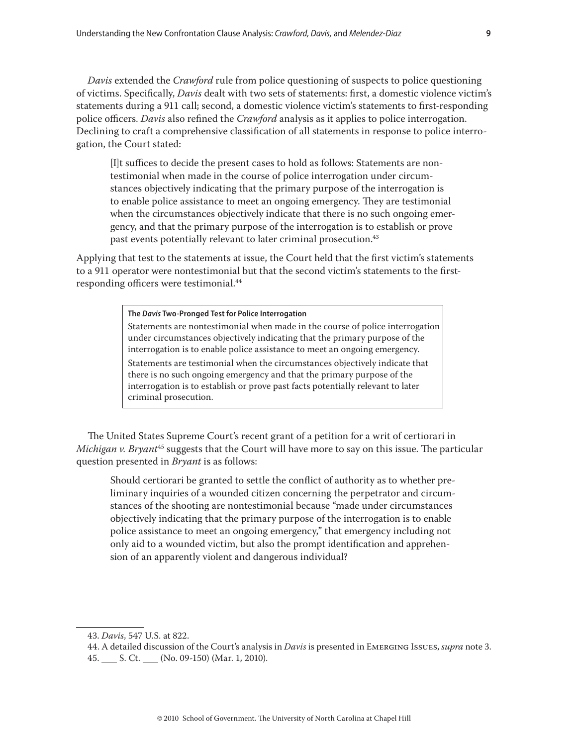*Davis* extended the *Crawford* rule from police questioning of suspects to police questioning of victims. Specifically, *Davis* dealt with two sets of statements: first, a domestic violence victim's statements during a 911 call; second, a domestic violence victim's statements to first-responding police officers. *Davis* also refined the *Crawford* analysis as it applies to police interrogation. Declining to craft a comprehensive classification of all statements in response to police interrogation, the Court stated:

[I]t suffices to decide the present cases to hold as follows: Statements are nontestimonial when made in the course of police interrogation under circumstances objectively indicating that the primary purpose of the interrogation is to enable police assistance to meet an ongoing emergency. They are testimonial when the circumstances objectively indicate that there is no such ongoing emergency, and that the primary purpose of the interrogation is to establish or prove past events potentially relevant to later criminal prosecution.<sup>43</sup>

Applying that test to the statements at issue, the Court held that the first victim's statements to a 911 operator were nontestimonial but that the second victim's statements to the firstresponding officers were testimonial.<sup>44</sup>

## **The** *Davis* **Two-Pronged Test for Police Interrogation**

Statements are nontestimonial when made in the course of police interrogation under circumstances objectively indicating that the primary purpose of the interrogation is to enable police assistance to meet an ongoing emergency. Statements are testimonial when the circumstances objectively indicate that there is no such ongoing emergency and that the primary purpose of the interrogation is to establish or prove past facts potentially relevant to later criminal prosecution.

The United States Supreme Court's recent grant of a petition for a writ of certiorari in *Michigan v. Bryant*45 suggests that the Court will have more to say on this issue. The particular question presented in *Bryant* is as follows:

Should certiorari be granted to settle the conflict of authority as to whether preliminary inquiries of a wounded citizen concerning the perpetrator and circumstances of the shooting are nontestimonial because "made under circumstances objectively indicating that the primary purpose of the interrogation is to enable police assistance to meet an ongoing emergency," that emergency including not only aid to a wounded victim, but also the prompt identification and apprehension of an apparently violent and dangerous individual?

<sup>43.</sup> *Davis*, 547 U.S. at 822.

<sup>44.</sup> A detailed discussion of the Court's analysis in *Davis* is presented in Emerging Issues, *supra* note 3. 45. S. Ct. (No. 09-150) (Mar. 1, 2010).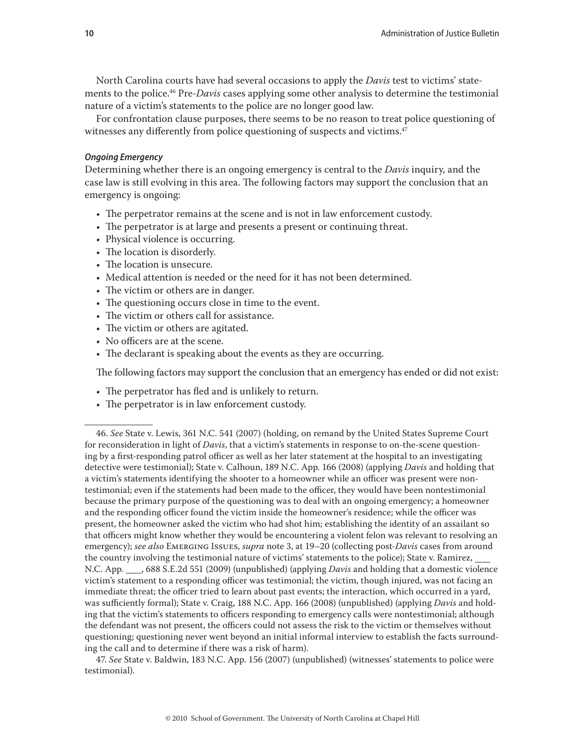<span id="page-9-0"></span>North Carolina courts have had several occasions to apply the *Davis* test to victims' statements to the police.46 Pre-*Davis* cases applying some other analysis to determine the testimonial nature of a victim's statements to the police are no longer good law.

For confrontation clause purposes, there seems to be no reason to treat police questioning of witnesses any differently from police questioning of suspects and victims.<sup>47</sup>

### *Ongoing Emergency*

Determining whether there is an ongoing emergency is central to the *Davis* inquiry, and the case law is still evolving in this area. The following factors may support the conclusion that an emergency is ongoing:

- The perpetrator remains at the scene and is not in law enforcement custody.
- The perpetrator is at large and presents a present or continuing threat.
- Physical violence is occurring.
- The location is disorderly.
- The location is unsecure.
- Medical attention is needed or the need for it has not been determined.
- The victim or others are in danger.
- The questioning occurs close in time to the event.
- The victim or others call for assistance.
- The victim or others are agitated.
- No officers are at the scene.
- The declarant is speaking about the events as they are occurring.

The following factors may support the conclusion that an emergency has ended or did not exist:

- The perpetrator has fled and is unlikely to return.
- The perpetrator is in law enforcement custody.

47. *See* State v. Baldwin, 183 N.C. App. 156 (2007) (unpublished) (witnesses' statements to police were testimonial).

<sup>46.</sup> *See* State v. Lewis, 361 N.C. 541 (2007) (holding, on remand by the United States Supreme Court for reconsideration in light of *Davis*, that a victim's statements in response to on-the-scene questioning by a first-responding patrol officer as well as her later statement at the hospital to an investigating detective were testimonial); State v. Calhoun, 189 N.C. App. 166 (2008) (applying *Davis* and holding that a victim's statements identifying the shooter to a homeowner while an officer was present were nontestimonial; even if the statements had been made to the officer, they would have been nontestimonial because the primary purpose of the questioning was to deal with an ongoing emergency; a homeowner and the responding officer found the victim inside the homeowner's residence; while the officer was present, the homeowner asked the victim who had shot him; establishing the identity of an assailant so that officers might know whether they would be encountering a violent felon was relevant to resolving an emergency); *see also* Emerging Issues, *supra* note 3, at 19–20 (collecting post-*Davis* cases from around the country involving the testimonial nature of victims' statements to the police); State v. Ramirez, N.C. App. 688 S.E.2d 551 (2009) (unpublished) (applying *Davis* and holding that a domestic violence victim's statement to a responding officer was testimonial; the victim, though injured, was not facing an immediate threat; the officer tried to learn about past events; the interaction, which occurred in a yard, was sufficiently formal); State v. Craig, 188 N.C. App. 166 (2008) (unpublished) (applying *Davis* and holding that the victim's statements to officers responding to emergency calls were nontestimonial; although the defendant was not present, the officers could not assess the risk to the victim or themselves without questioning; questioning never went beyond an initial informal interview to establish the facts surrounding the call and to determine if there was a risk of harm).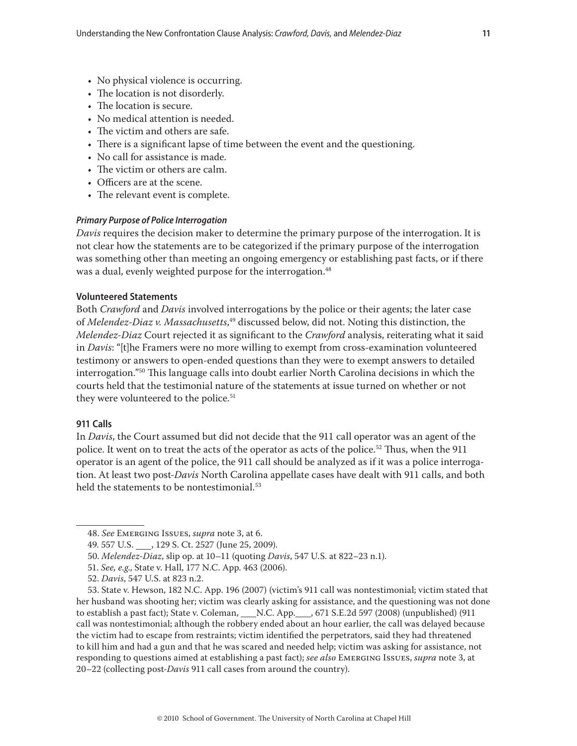- <span id="page-10-0"></span>• No physical violence is occurring.
- The location is not disorderly.
- The location is secure.
- No medical attention is needed.
- The victim and others are safe.
- There is a significant lapse of time between the event and the questioning.
- No call for assistance is made.
- The victim or others are calm.
- Officers are at the scene.
- The relevant event is complete.

## *Primary Purpose of Police Interrogation*

*Davis* requires the decision maker to determine the primary purpose of the interrogation. It is not clear how the statements are to be categorized if the primary purpose of the interrogation was something other than meeting an ongoing emergency or establishing past facts, or if there was a dual, evenly weighted purpose for the interrogation.<sup>48</sup>

## **Volunteered Statements**

Both *Crawford* and *Davis* involved interrogations by the police or their agents; the later case of *Melendez-Diaz v. Massachusetts*, 49 discussed below, did not. Noting this distinction, the *Melendez-Diaz* Court rejected it as significant to the *Crawford* analysis, reiterating what it said in *Davis*: "[t]he Framers were no more willing to exempt from cross-examination volunteered testimony or answers to open-ended questions than they were to exempt answers to detailed interrogation."50 This language calls into doubt earlier North Carolina decisions in which the courts held that the testimonial nature of the statements at issue turned on whether or not they were volunteered to the police.<sup>51</sup>

## **911 Calls**

In *Davis*, the Court assumed but did not decide that the 911 call operator was an agent of the police. It went on to treat the acts of the operator as acts of the police.<sup>52</sup> Thus, when the 911 operator is an agent of the police, the 911 call should be analyzed as if it was a police interrogation. At least two post-*Davis* North Carolina appellate cases have dealt with 911 calls, and both held the statements to be nontestimonial.<sup>53</sup>

<sup>48.</sup> *See* Emerging Issues, *supra* note 3, at 6.

<sup>49. 557</sup> U.S. 129 S. Ct. 2527 (June 25, 2009).

<sup>50.</sup> *Melendez-Diaz*, slip op. at 10–11 (quoting *Davis*, 547 U.S. at 822–23 n.1).

<sup>51.</sup> *See, e.g*., State v. Hall, 177 N.C. App. 463 (2006).

<sup>52.</sup> *Davis*, 547 U.S. at 823 n.2.

<sup>53.</sup> State v. Hewson, 182 N.C. App. 196 (2007) (victim's 911 call was nontestimonial; victim stated that her husband was shooting her; victim was clearly asking for assistance, and the questioning was not done to establish a past fact); State v. Coleman, \_\_\_N.C. App. 671 S.E.2d 597 (2008) (unpublished) (911 call was nontestimonial; although the robbery ended about an hour earlier, the call was delayed because the victim had to escape from restraints; victim identified the perpetrators, said they had threatened to kill him and had a gun and that he was scared and needed help; victim was asking for assistance, not responding to questions aimed at establishing a past fact); *see also* Emerging Issues, *supra* note 3, at 20–22 (collecting post-*Davis* 911 call cases from around the country).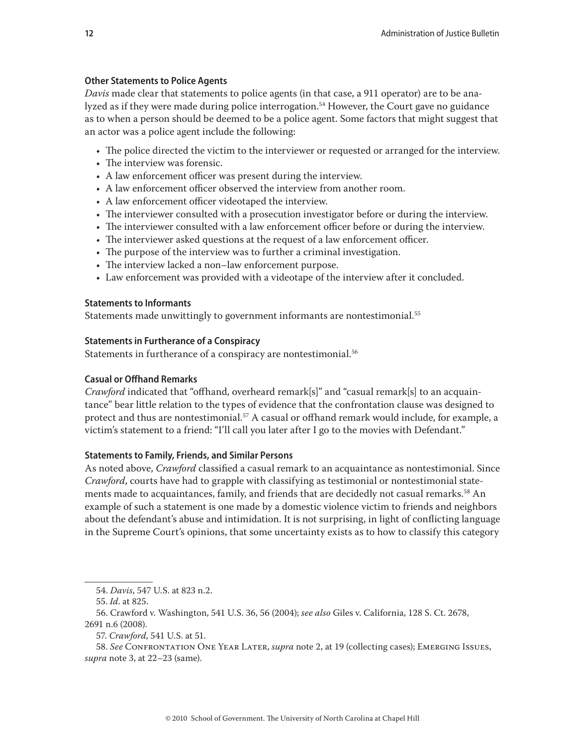# <span id="page-11-0"></span>**Other Statements to Police Agents**

*Davis* made clear that statements to police agents (in that case, a 911 operator) are to be analyzed as if they were made during police interrogation.<sup>54</sup> However, the Court gave no guidance as to when a person should be deemed to be a police agent. Some factors that might suggest that an actor was a police agent include the following:

- The police directed the victim to the interviewer or requested or arranged for the interview.
- The interview was forensic.
- A law enforcement officer was present during the interview.
- A law enforcement officer observed the interview from another room.
- A law enforcement officer videotaped the interview.
- The interviewer consulted with a prosecution investigator before or during the interview.
- The interviewer consulted with a law enforcement officer before or during the interview.
- The interviewer asked questions at the request of a law enforcement officer.
- The purpose of the interview was to further a criminal investigation.
- The interview lacked a non–law enforcement purpose.
- Law enforcement was provided with a videotape of the interview after it concluded.

# **Statements to Informants**

Statements made unwittingly to government informants are nontestimonial.<sup>55</sup>

# **Statements in Furtherance of a Conspiracy**

Statements in furtherance of a conspiracy are nontestimonial.<sup>56</sup>

# **Casual or Offhand Remarks**

*Crawford* indicated that "offhand, overheard remark[s]" and "casual remark[s] to an acquaintance" bear little relation to the types of evidence that the confrontation clause was designed to protect and thus are nontestimonial.<sup>57</sup> A casual or offhand remark would include, for example, a victim's statement to a friend: "I'll call you later after I go to the movies with Defendant."

# **Statements to Family, Friends, and Similar Persons**

As noted above, *Crawford* classified a casual remark to an acquaintance as nontestimonial. Since *Crawford*, courts have had to grapple with classifying as testimonial or nontestimonial statements made to acquaintances, family, and friends that are decidedly not casual remarks.<sup>58</sup> An example of such a statement is one made by a domestic violence victim to friends and neighbors about the defendant's abuse and intimidation. It is not surprising, in light of conflicting language in the Supreme Court's opinions, that some uncertainty exists as to how to classify this category

57. *Crawford*, 541 U.S. at 51.

<sup>54.</sup> *Davis*, 547 U.S. at 823 n.2.

<sup>55.</sup> *Id*. at 825.

<sup>56.</sup> Crawford v. Washington, 541 U.S. 36, 56 (2004); *see also* Giles v. California, 128 S. Ct. 2678, 2691 n.6 (2008).

<sup>58.</sup> *See* Confrontation One Year Later, *supra* note 2, at 19 (collecting cases); Emerging Issues, *supra* note 3, at 22–23 (same).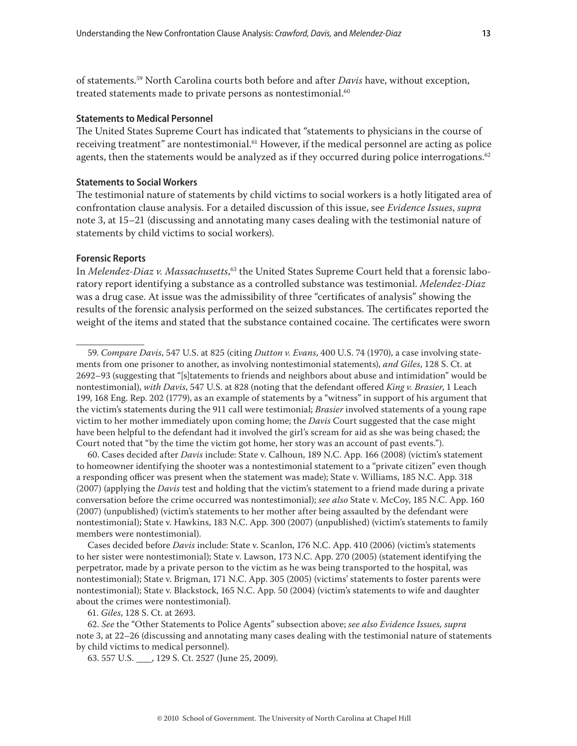<span id="page-12-0"></span>of statements.59 North Carolina courts both before and after *Davis* have, without exception, treated statements made to private persons as nontestimonial.<sup>60</sup>

## **Statements to Medical Personnel**

The United States Supreme Court has indicated that "statements to physicians in the course of receiving treatment" are nontestimonial.<sup>61</sup> However, if the medical personnel are acting as police agents, then the statements would be analyzed as if they occurred during police interrogations. $62$ 

## **Statements to Social Workers**

The testimonial nature of statements by child victims to social workers is a hotly litigated area of confrontation clause analysis. For a detailed discussion of this issue, see *Evidence Issues*, *supra* note 3, at 15–21 (discussing and annotating many cases dealing with the testimonial nature of statements by child victims to social workers).

## **Forensic Reports**

In *Melendez-Diaz v. Massachusetts*, 63 the United States Supreme Court held that a forensic laboratory report identifying a substance as a controlled substance was testimonial. *Melendez-Diaz*  was a drug case. At issue was the admissibility of three "certificates of analysis" showing the results of the forensic analysis performed on the seized substances. The certificates reported the weight of the items and stated that the substance contained cocaine. The certificates were sworn

60. Cases decided after *Davis* include: State v. Calhoun, 189 N.C. App. 166 (2008) (victim's statement to homeowner identifying the shooter was a nontestimonial statement to a "private citizen" even though a responding officer was present when the statement was made); State v. Williams, 185 N.C. App. 318 (2007) (applying the *Davis* test and holding that the victim's statement to a friend made during a private conversation before the crime occurred was nontestimonial); *see also* State v. McCoy, 185 N.C. App. 160 (2007) (unpublished) (victim's statements to her mother after being assaulted by the defendant were nontestimonial); State v. Hawkins, 183 N.C. App. 300 (2007) (unpublished) (victim's statements to family members were nontestimonial).

Cases decided before *Davis* include: State v. Scanlon, 176 N.C. App. 410 (2006) (victim's statements to her sister were nontestimonial); State v. Lawson, 173 N.C. App. 270 (2005) (statement identifying the perpetrator, made by a private person to the victim as he was being transported to the hospital, was nontestimonial); State v. Brigman, 171 N.C. App. 305 (2005) (victims' statements to foster parents were nontestimonial); State v. Blackstock, 165 N.C. App. 50 (2004) (victim's statements to wife and daughter about the crimes were nontestimonial).

61. *Giles*, 128 S. Ct. at 2693.

62. *See* the "Other Statements to Police Agents" subsection above; *see also Evidence Issues, supra* note 3, at 22–26 (discussing and annotating many cases dealing with the testimonial nature of statements by child victims to medical personnel).

63. 557 U.S. 129 S. Ct. 2527 (June 25, 2009).

<sup>59.</sup> *Compare Davis*, 547 U.S. at 825 (citing *Dutton v. Evans*, 400 U.S. 74 (1970), a case involving statements from one prisoner to another, as involving nontestimonial statements), *and Giles*, 128 S. Ct. at 2692–93 (suggesting that "[s]tatements to friends and neighbors about abuse and intimidation" would be nontestimonial), *with Davis*, 547 U.S. at 828 (noting that the defendant offered *King v. Brasier*, 1 Leach 199, 168 Eng. Rep. 202 (1779), as an example of statements by a "witness" in support of his argument that the victim's statements during the 911 call were testimonial; *Brasier* involved statements of a young rape victim to her mother immediately upon coming home; the *Davis* Court suggested that the case might have been helpful to the defendant had it involved the girl's scream for aid as she was being chased; the Court noted that "by the time the victim got home, her story was an account of past events.").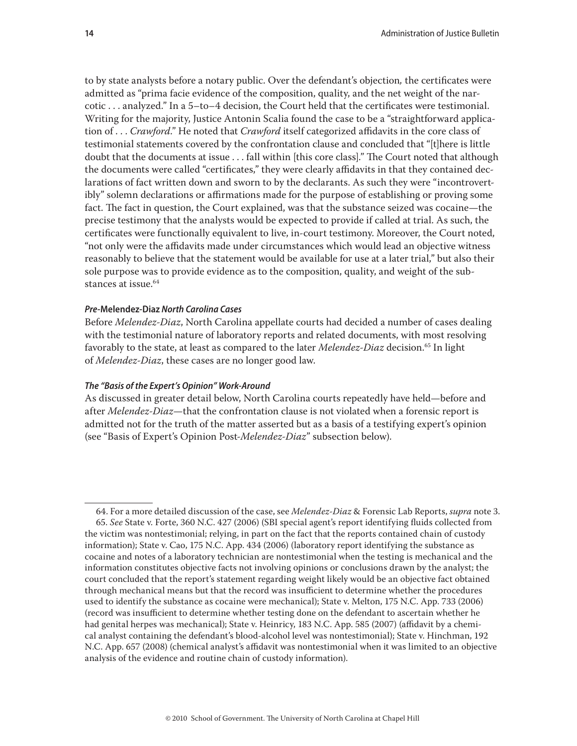<span id="page-13-0"></span>to by state analysts before a notary public. Over the defendant's objection*,* the certificates were admitted as "prima facie evidence of the composition, quality, and the net weight of the narcotic . . . analyzed." In a 5–to–4 decision, the Court held that the certificates were testimonial. Writing for the majority, Justice Antonin Scalia found the case to be a "straightforward application of . . . *Crawford*." He noted that *Crawford* itself categorized affidavits in the core class of testimonial statements covered by the confrontation clause and concluded that "[t]here is little doubt that the documents at issue . . . fall within [this core class]." The Court noted that although the documents were called "certificates," they were clearly affidavits in that they contained declarations of fact written down and sworn to by the declarants. As such they were "incontrovertibly" solemn declarations or affirmations made for the purpose of establishing or proving some fact. The fact in question, the Court explained, was that the substance seized was cocaine—the precise testimony that the analysts would be expected to provide if called at trial. As such, the certificates were functionally equivalent to live, in-court testimony. Moreover, the Court noted, "not only were the affidavits made under circumstances which would lead an objective witness reasonably to believe that the statement would be available for use at a later trial," but also their sole purpose was to provide evidence as to the composition, quality, and weight of the substances at issue.64

## *Pre-***Melendez-Diaz** *North Carolina Cases*

Before *Melendez-Diaz*, North Carolina appellate courts had decided a number of cases dealing with the testimonial nature of laboratory reports and related documents, with most resolving favorably to the state, at least as compared to the later *Melendez-Diaz* decision.65 In light of *Melendez-Diaz*, these cases are no longer good law.

## *The "Basis of the Expert's Opinion" Work-Around*

As discussed in greater detail below, North Carolina courts repeatedly have held—before and after *Melendez-Diaz*—that the confrontation clause is not violated when a forensic report is admitted not for the truth of the matter asserted but as a basis of a testifying expert's opinion (see "Basis of Expert's Opinion Post-*Melendez-Diaz*" subsection below).

<sup>64.</sup> For a more detailed discussion of the case, see *Melendez-Diaz* & Forensic Lab Reports, *supra* note 3. 65. *See* State v. Forte, 360 N.C. 427 (2006) (SBI special agent's report identifying fluids collected from the victim was nontestimonial; relying, in part on the fact that the reports contained chain of custody information); State v. Cao, 175 N.C. App. 434 (2006) (laboratory report identifying the substance as cocaine and notes of a laboratory technician are nontestimonial when the testing is mechanical and the information constitutes objective facts not involving opinions or conclusions drawn by the analyst; the court concluded that the report's statement regarding weight likely would be an objective fact obtained through mechanical means but that the record was insufficient to determine whether the procedures used to identify the substance as cocaine were mechanical); State v. Melton, 175 N.C. App. 733 (2006) (record was insufficient to determine whether testing done on the defendant to ascertain whether he had genital herpes was mechanical); State v. Heinricy, 183 N.C. App. 585 (2007) (affidavit by a chemical analyst containing the defendant's blood-alcohol level was nontestimonial); State v. Hinchman, 192 N.C. App. 657 (2008) (chemical analyst's affidavit was nontestimonial when it was limited to an objective analysis of the evidence and routine chain of custody information).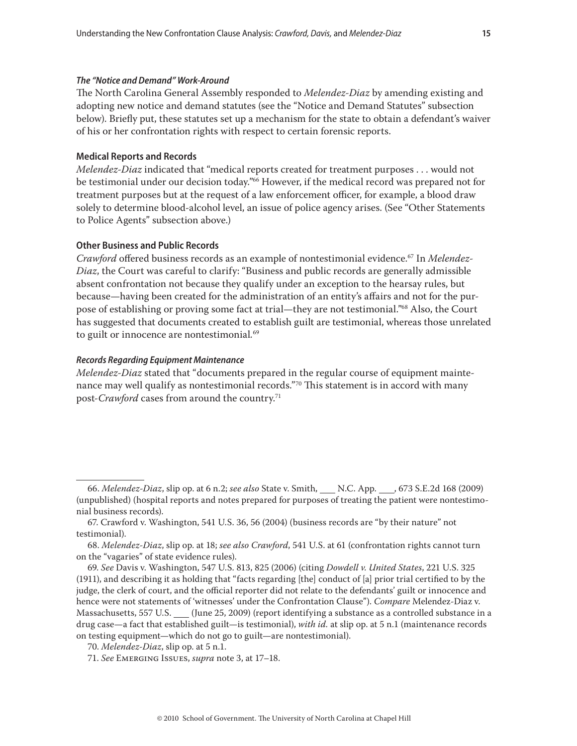## <span id="page-14-0"></span>*The "Notice and Demand" Work-Around*

The North Carolina General Assembly responded to *Melendez-Diaz* by amending existing and adopting new notice and demand statutes (see the "Notice and Demand Statutes" subsection below). Briefly put, these statutes set up a mechanism for the state to obtain a defendant's waiver of his or her confrontation rights with respect to certain forensic reports.

## **Medical Reports and Records**

*Melendez-Diaz* indicated that "medical reports created for treatment purposes . . . would not be testimonial under our decision today."66 However, if the medical record was prepared not for treatment purposes but at the request of a law enforcement officer, for example, a blood draw solely to determine blood-alcohol level, an issue of police agency arises. (See "Other Statements to Police Agents" subsection above.)

## **Other Business and Public Records**

*Crawford* offered business records as an example of nontestimonial evidence.67 In *Melendez-Diaz*, the Court was careful to clarify: "Business and public records are generally admissible absent confrontation not because they qualify under an exception to the hearsay rules, but because—having been created for the administration of an entity's affairs and not for the purpose of establishing or proving some fact at trial—they are not testimonial."<sup>68</sup> Also, the Court has suggested that documents created to establish guilt are testimonial, whereas those unrelated to guilt or innocence are nontestimonial*.* 69

#### *Records Regarding Equipment Maintenance*

*Melendez-Diaz* stated that "documents prepared in the regular course of equipment maintenance may well qualify as nontestimonial records."<sup>70</sup> This statement is in accord with many post-*Crawford* cases from around the country.71

<sup>66.</sup> *Melendez-Diaz*, slip op. at 6 n.2; *see also* State v. Smith, \_\_\_ N.C. App. \_\_\_, 673 S.E.2d 168 (2009) (unpublished) (hospital reports and notes prepared for purposes of treating the patient were nontestimonial business records).

<sup>67.</sup> Crawford v. Washington, 541 U.S. 36, 56 (2004) (business records are "by their nature" not testimonial).

<sup>68.</sup> *Melendez-Diaz*, slip op. at 18; *see also Crawford*, 541 U.S. at 61 (confrontation rights cannot turn on the "vagaries" of state evidence rules).

<sup>69.</sup> *See* Davis v. Washington, 547 U.S. 813, 825 (2006) (citing *Dowdell v. United States*, 221 U.S. 325 (1911), and describing it as holding that "facts regarding [the] conduct of [a] prior trial certified to by the judge, the clerk of court, and the official reporter did not relate to the defendants' guilt or innocence and hence were not statements of 'witnesses' under the Confrontation Clause"). *Compare* Melendez-Diaz v. Massachusetts, 557 U.S. (June 25, 2009) (report identifying a substance as a controlled substance in a drug case—a fact that established guilt—is testimonial), *with id.* at slip op. at 5 n.1 (maintenance records on testing equipment—which do not go to guilt—are nontestimonial).

<sup>70.</sup> *Melendez-Diaz*, slip op. at 5 n.1.

<sup>71.</sup> *See* Emerging Issues, *supra* note 3, at 17–18.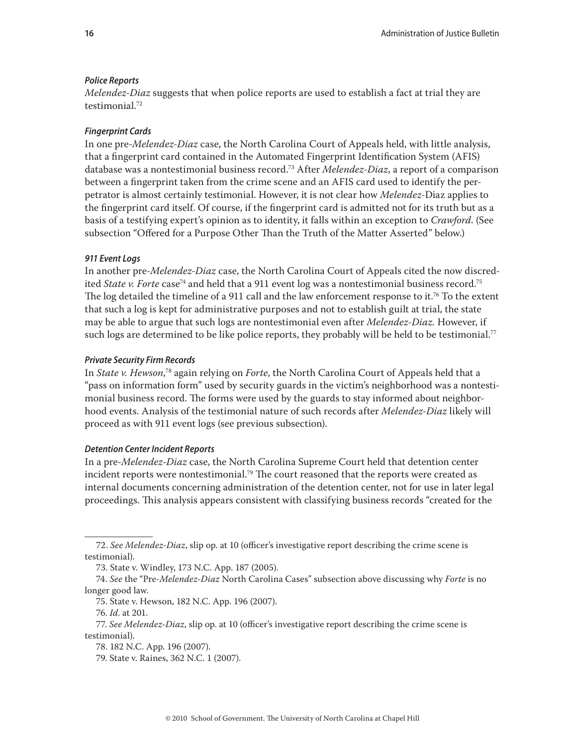#### <span id="page-15-0"></span>*Police Reports*

*Melendez-Diaz* suggests that when police reports are used to establish a fact at trial they are testimonial.72

#### *Fingerprint Cards*

In one pre-*Melendez-Diaz* case, the North Carolina Court of Appeals held, with little analysis, that a fingerprint card contained in the Automated Fingerprint Identification System (AFIS) database was a nontestimonial business record.73 After *Melendez-Diaz*, a report of a comparison between a fingerprint taken from the crime scene and an AFIS card used to identify the perpetrator is almost certainly testimonial. However, it is not clear how *Melendez-*Diaz applies to the fingerprint card itself. Of course, if the fingerprint card is admitted not for its truth but as a basis of a testifying expert's opinion as to identity, it falls within an exception to *Crawford*. (See subsection "Offered for a Purpose Other Than the Truth of the Matter Asserted" below.)

#### *911 Event Logs*

In another pre-*Melendez-Diaz* case, the North Carolina Court of Appeals cited the now discredited *State v. Forte* case<sup>74</sup> and held that a 911 event log was a nontestimonial business record.<sup>75</sup> The log detailed the timeline of a 911 call and the law enforcement response to it.<sup>76</sup> To the extent that such a log is kept for administrative purposes and not to establish guilt at trial, the state may be able to argue that such logs are nontestimonial even after *Melendez-Diaz.* However, if such logs are determined to be like police reports, they probably will be held to be testimonial.<sup>77</sup>

#### *Private Security Firm Records*

In *State v. Hewson*, 78 again relying on *Forte*, the North Carolina Court of Appeals held that a "pass on information form" used by security guards in the victim's neighborhood was a nontestimonial business record. The forms were used by the guards to stay informed about neighborhood events. Analysis of the testimonial nature of such records after *Melendez-Diaz* likely will proceed as with 911 event logs (see previous subsection).

#### *Detention Center Incident Reports*

In a pre-*Melendez-Diaz* case, the North Carolina Supreme Court held that detention center incident reports were nontestimonial.<sup>79</sup> The court reasoned that the reports were created as internal documents concerning administration of the detention center, not for use in later legal proceedings. This analysis appears consistent with classifying business records "created for the

<sup>72.</sup> *See Melendez-Diaz*, slip op. at 10 (officer's investigative report describing the crime scene is testimonial).

<sup>73.</sup> State v. Windley, 173 N.C. App. 187 (2005).

<sup>74.</sup> *See* the "Pre-*Melendez-Diaz* North Carolina Cases" subsection above discussing why *Forte* is no longer good law.

<sup>75.</sup> State v. Hewson, 182 N.C. App. 196 (2007).

<sup>76.</sup> *Id*. at 201.

<sup>77.</sup> *See Melendez-Diaz*, slip op. at 10 (officer's investigative report describing the crime scene is testimonial).

<sup>78. 182</sup> N.C. App. 196 (2007).

<sup>79.</sup> State v. Raines, 362 N.C. 1 (2007).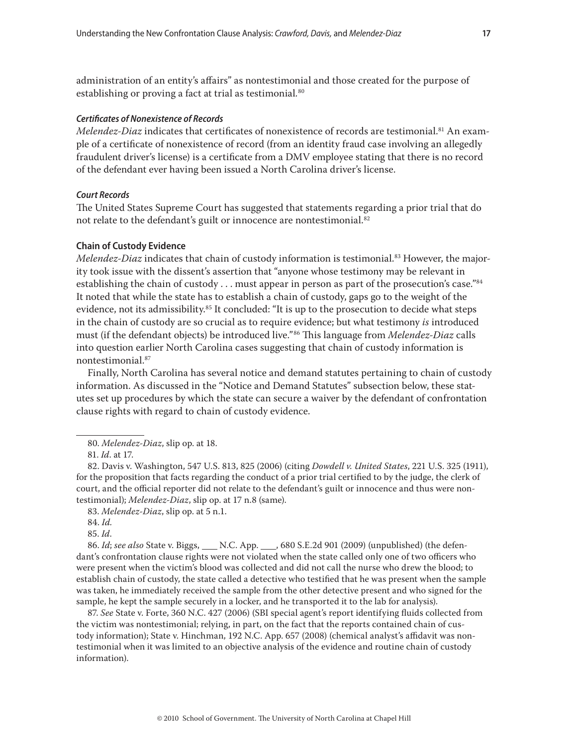<span id="page-16-0"></span>administration of an entity's affairs" as nontestimonial and those created for the purpose of establishing or proving a fact at trial as testimonial*.* 80

## *Certificates of Nonexistence of Records*

*Melendez-Diaz* indicates that certificates of nonexistence of records are testimonial.<sup>81</sup> An example of a certificate of nonexistence of record (from an identity fraud case involving an allegedly fraudulent driver's license) is a certificate from a DMV employee stating that there is no record of the defendant ever having been issued a North Carolina driver's license.

## *Court Records*

The United States Supreme Court has suggested that statements regarding a prior trial that do not relate to the defendant's guilt or innocence are nontestimonial.<sup>82</sup>

#### **Chain of Custody Evidence**

*Melendez-Diaz* indicates that chain of custody information is testimonial.<sup>83</sup> However, the majority took issue with the dissent's assertion that "anyone whose testimony may be relevant in establishing the chain of custody  $\dots$  must appear in person as part of the prosecution's case." $84$ It noted that while the state has to establish a chain of custody, gaps go to the weight of the evidence, not its admissibility.<sup>85</sup> It concluded: "It is up to the prosecution to decide what steps in the chain of custody are so crucial as to require evidence; but what testimony *is* introduced must (if the defendant objects) be introduced live."86 This language from *Melendez-Diaz* calls into question earlier North Carolina cases suggesting that chain of custody information is nontestimonial.87

Finally, North Carolina has several notice and demand statutes pertaining to chain of custody information. As discussed in the "Notice and Demand Statutes" subsection below, these statutes set up procedures by which the state can secure a waiver by the defendant of confrontation clause rights with regard to chain of custody evidence.

85. *Id*.

86. *Id*; see also State v. Biggs, \_\_\_\_ N.C. App. \_\_\_, 680 S.E.2d 901 (2009) (unpublished) (the defendant's confrontation clause rights were not violated when the state called only one of two officers who were present when the victim's blood was collected and did not call the nurse who drew the blood; to establish chain of custody, the state called a detective who testified that he was present when the sample was taken, he immediately received the sample from the other detective present and who signed for the sample, he kept the sample securely in a locker, and he transported it to the lab for analysis).

87. *See* State v. Forte, 360 N.C. 427 (2006) (SBI special agent's report identifying fluids collected from the victim was nontestimonial; relying, in part, on the fact that the reports contained chain of custody information); State v. Hinchman, 192 N.C. App. 657 (2008) (chemical analyst's affidavit was nontestimonial when it was limited to an objective analysis of the evidence and routine chain of custody information).

<sup>80.</sup> *Melendez-Diaz*, slip op. at 18.

<sup>81.</sup> *Id*. at 17.

<sup>82.</sup> Davis v. Washington, 547 U.S. 813, 825 (2006) (citing *Dowdell v. United States*, 221 U.S. 325 (1911), for the proposition that facts regarding the conduct of a prior trial certified to by the judge, the clerk of court, and the official reporter did not relate to the defendant's guilt or innocence and thus were nontestimonial); *Melendez-Diaz*, slip op. at 17 n.8 (same).

<sup>83.</sup> *Melendez-Diaz*, slip op. at 5 n.1.

<sup>84.</sup> *Id.*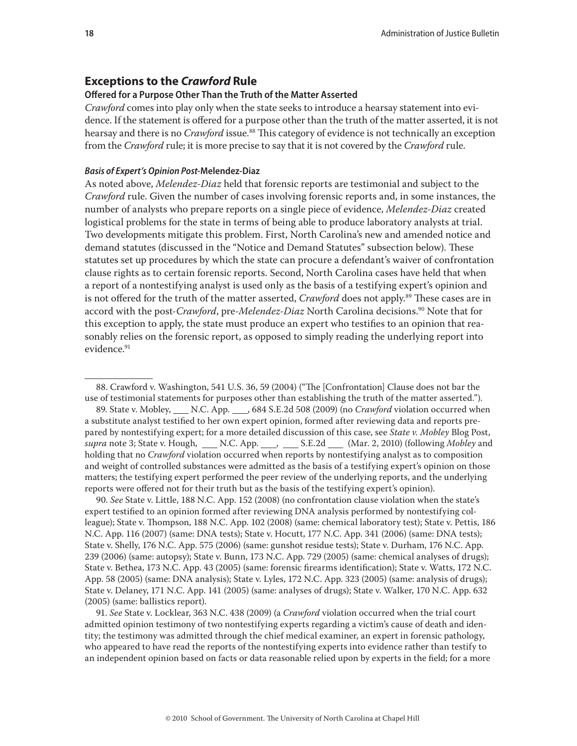## <span id="page-17-0"></span>**Exceptions to the** *Crawford* **Rule**

## **Offered for a Purpose Other Than the Truth of the Matter Asserted**

*Crawford* comes into play only when the state seeks to introduce a hearsay statement into evidence. If the statement is offered for a purpose other than the truth of the matter asserted, it is not hearsay and there is no *Crawford* issue.<sup>88</sup> This category of evidence is not technically an exception from the *Crawford* rule; it is more precise to say that it is not covered by the *Crawford* rule.

## *Basis of Expert's Opinion Post-***Melendez-Diaz**

As noted above, *Melendez-Diaz* held that forensic reports are testimonial and subject to the *Crawford* rule. Given the number of cases involving forensic reports and, in some instances, the number of analysts who prepare reports on a single piece of evidence, *Melendez-Diaz* created logistical problems for the state in terms of being able to produce laboratory analysts at trial. Two developments mitigate this problem. First, North Carolina's new and amended notice and demand statutes (discussed in the "Notice and Demand Statutes" subsection below). These statutes set up procedures by which the state can procure a defendant's waiver of confrontation clause rights as to certain forensic reports. Second, North Carolina cases have held that when a report of a nontestifying analyst is used only as the basis of a testifying expert's opinion and is not offered for the truth of the matter asserted, *Crawford* does not apply.<sup>89</sup> These cases are in accord with the post-*Crawford*, pre-*Melendez-Diaz* North Carolina decisions.90 Note that for this exception to apply, the state must produce an expert who testifies to an opinion that reasonably relies on the forensic report, as opposed to simply reading the underlying report into evidence.<sup>91</sup>

90. *See* State v. Little, 188 N.C. App. 152 (2008) (no confrontation clause violation when the state's expert testified to an opinion formed after reviewing DNA analysis performed by nontestifying colleague); State v. Thompson, 188 N.C. App. 102 (2008) (same: chemical laboratory test); State v. Pettis, 186 N.C. App. 116 (2007) (same: DNA tests); State v. Hocutt, 177 N.C. App. 341 (2006) (same: DNA tests); State v. Shelly, 176 N.C. App. 575 (2006) (same: gunshot residue tests); State v. Durham, 176 N.C. App. 239 (2006) (same: autopsy); State v. Bunn, 173 N.C. App. 729 (2005) (same: chemical analyses of drugs); State v. Bethea, 173 N.C. App. 43 (2005) (same: forensic firearms identification); State v. Watts, 172 N.C. App. 58 (2005) (same: DNA analysis); State v. Lyles, 172 N.C. App. 323 (2005) (same: analysis of drugs); State v. Delaney, 171 N.C. App. 141 (2005) (same: analyses of drugs); State v. Walker, 170 N.C. App. 632 (2005) (same: ballistics report).

91. *See* State v. Locklear, 363 N.C. 438 (2009) (a *Crawford* violation occurred when the trial court admitted opinion testimony of two nontestifying experts regarding a victim's cause of death and identity; the testimony was admitted through the chief medical examiner, an expert in forensic pathology, who appeared to have read the reports of the nontestifying experts into evidence rather than testify to an independent opinion based on facts or data reasonable relied upon by experts in the field; for a more

<sup>88.</sup> Crawford v. Washington, 541 U.S. 36, 59 (2004) ("The [Confrontation] Clause does not bar the use of testimonial statements for purposes other than establishing the truth of the matter asserted.").

<sup>89.</sup> State v. Mobley, \_\_\_\_ N.C. App. \_\_\_, 684 S.E.2d 508 (2009) (no *Crawford* violation occurred when a substitute analyst testified to her own expert opinion, formed after reviewing data and reports prepared by nontestifying expert; for a more detailed discussion of this case, see *State v. Mobley* Blog Post, supra note 3; State v. Hough, \_\_\_ N.C. App. \_\_\_, \_\_\_ S.E.2d \_\_\_ (Mar. 2, 2010) (following *Mobley* and holding that no *Crawford* violation occurred when reports by nontestifying analyst as to composition and weight of controlled substances were admitted as the basis of a testifying expert's opinion on those matters; the testifying expert performed the peer review of the underlying reports, and the underlying reports were offered not for their truth but as the basis of the testifying expert's opinion).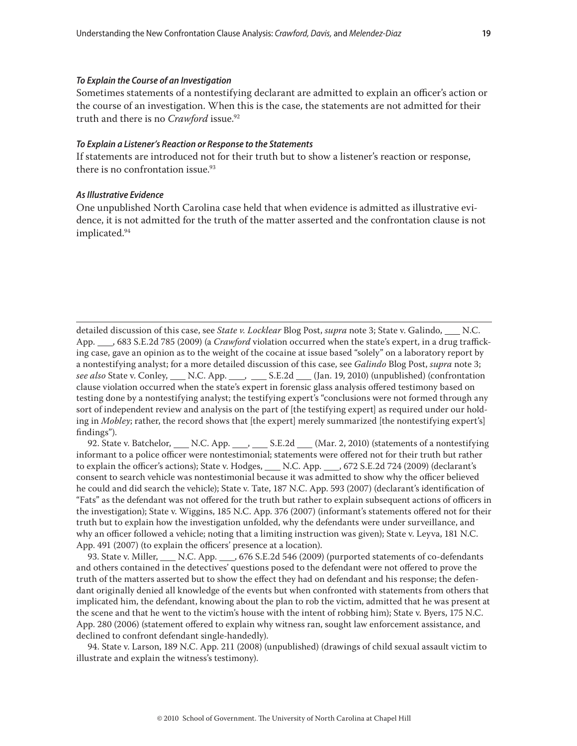#### <span id="page-18-0"></span>*To Explain the Course of an Investigation*

Sometimes statements of a nontestifying declarant are admitted to explain an officer's action or the course of an investigation. When this is the case, the statements are not admitted for their truth and there is no *Crawford* issue.<sup>92</sup>

## *To Explain a Listener's Reaction or Response to the Statements*

If statements are introduced not for their truth but to show a listener's reaction or response, there is no confrontation issue. $93$ 

#### *As Illustrative Evidence*

One unpublished North Carolina case held that when evidence is admitted as illustrative evidence, it is not admitted for the truth of the matter asserted and the confrontation clause is not implicated.94

detailed discussion of this case, see *State v. Locklear* Blog Post, *supra* note 3; State v. Galindo, N.C. App. 683 S.E.2d 785 (2009) (a *Crawford* violation occurred when the state's expert, in a drug trafficking case, gave an opinion as to the weight of the cocaine at issue based "solely" on a laboratory report by a nontestifying analyst; for a more detailed discussion of this case, see *Galindo* Blog Post, *supra* note 3; *see also* State v. Conley, N.C. App. S.E.2d (Jan. 19, 2010) (unpublished) (confrontation clause violation occurred when the state's expert in forensic glass analysis offered testimony based on testing done by a nontestifying analyst; the testifying expert's "conclusions were not formed through any sort of independent review and analysis on the part of [the testifying expert] as required under our holding in *Mobley*; rather, the record shows that [the expert] merely summarized [the nontestifying expert's] findings").

92. State v. Batchelor,  $N.C.$  App.  $S.E.2d$   $(Mar. 2, 2010)$  (statements of a nontestifying informant to a police officer were nontestimonial; statements were offered not for their truth but rather to explain the officer's actions); State v. Hodges, \_\_\_ N.C. App. \_\_\_, 672 S.E.2d 724 (2009) (declarant's consent to search vehicle was nontestimonial because it was admitted to show why the officer believed he could and did search the vehicle); State v. Tate, 187 N.C. App. 593 (2007) (declarant's identification of "Fats" as the defendant was not offered for the truth but rather to explain subsequent actions of officers in the investigation); State v. Wiggins, 185 N.C. App. 376 (2007) (informant's statements offered not for their truth but to explain how the investigation unfolded, why the defendants were under surveillance, and why an officer followed a vehicle; noting that a limiting instruction was given); State v. Leyva, 181 N.C. App. 491 (2007) (to explain the officers' presence at a location).

93. State v. Miller, N.C. App. , 676 S.E.2d 546 (2009) (purported statements of co-defendants and others contained in the detectives' questions posed to the defendant were not offered to prove the truth of the matters asserted but to show the effect they had on defendant and his response; the defendant originally denied all knowledge of the events but when confronted with statements from others that implicated him, the defendant, knowing about the plan to rob the victim, admitted that he was present at the scene and that he went to the victim's house with the intent of robbing him); State v. Byers, 175 N.C. App. 280 (2006) (statement offered to explain why witness ran, sought law enforcement assistance, and declined to confront defendant single-handedly).

94. State v. Larson, 189 N.C. App. 211 (2008) (unpublished) (drawings of child sexual assault victim to illustrate and explain the witness's testimony).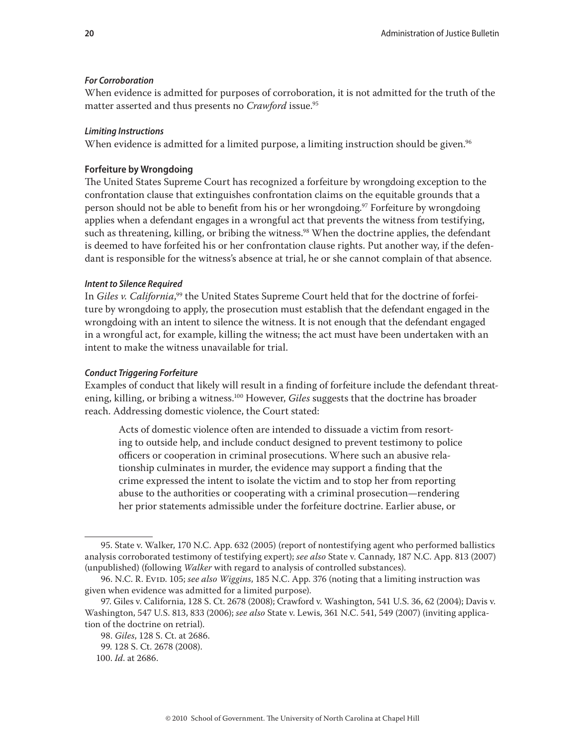## <span id="page-19-0"></span>*For Corroboration*

When evidence is admitted for purposes of corroboration, it is not admitted for the truth of the matter asserted and thus presents no *Crawford* issue.<sup>95</sup>

#### *Limiting Instructions*

When evidence is admitted for a limited purpose, a limiting instruction should be given.<sup>96</sup>

## **Forfeiture by Wrongdoing**

The United States Supreme Court has recognized a forfeiture by wrongdoing exception to the confrontation clause that extinguishes confrontation claims on the equitable grounds that a person should not be able to benefit from his or her wrongdoing.<sup>97</sup> Forfeiture by wrongdoing applies when a defendant engages in a wrongful act that prevents the witness from testifying, such as threatening, killing, or bribing the witness.<sup>98</sup> When the doctrine applies, the defendant is deemed to have forfeited his or her confrontation clause rights. Put another way, if the defendant is responsible for the witness's absence at trial, he or she cannot complain of that absence.

## *Intent to Silence Required*

In *Giles v. California*,'' the United States Supreme Court held that for the doctrine of forfeiture by wrongdoing to apply, the prosecution must establish that the defendant engaged in the wrongdoing with an intent to silence the witness. It is not enough that the defendant engaged in a wrongful act, for example, killing the witness; the act must have been undertaken with an intent to make the witness unavailable for trial.

## *Conduct Triggering Forfeiture*

Examples of conduct that likely will result in a finding of forfeiture include the defendant threatening, killing, or bribing a witness.<sup>100</sup> However, *Giles* suggests that the doctrine has broader reach. Addressing domestic violence, the Court stated:

Acts of domestic violence often are intended to dissuade a victim from resorting to outside help, and include conduct designed to prevent testimony to police officers or cooperation in criminal prosecutions. Where such an abusive relationship culminates in murder, the evidence may support a finding that the crime expressed the intent to isolate the victim and to stop her from reporting abuse to the authorities or cooperating with a criminal prosecution—rendering her prior statements admissible under the forfeiture doctrine. Earlier abuse, or

<sup>95.</sup> State v. Walker, 170 N.C. App. 632 (2005) (report of nontestifying agent who performed ballistics analysis corroborated testimony of testifying expert); *see also* State v. Cannady, 187 N.C. App. 813 (2007) (unpublished) (following *Walker* with regard to analysis of controlled substances).

<sup>96.</sup> N.C. R. Evid. 105; *see also Wiggins*, 185 N.C. App. 376 (noting that a limiting instruction was given when evidence was admitted for a limited purpose).

<sup>97.</sup> Giles v. California, 128 S. Ct. 2678 (2008); Crawford v. Washington, 541 U.S. 36, 62 (2004); Davis v. Washington, 547 U.S. 813, 833 (2006); *see also* State v. Lewis, 361 N.C. 541, 549 (2007) (inviting application of the doctrine on retrial).

<sup>98.</sup> *Giles*, 128 S. Ct. at 2686.

<sup>99. 128</sup> S. Ct. 2678 (2008).

<sup>100.</sup> *Id*. at 2686.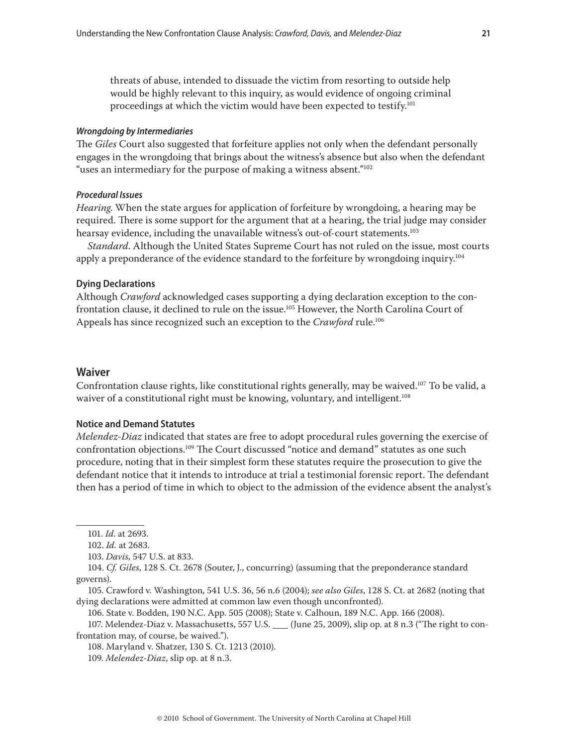<span id="page-20-0"></span>threats of abuse, intended to dissuade the victim from resorting to outside help would be highly relevant to this inquiry, as would evidence of ongoing criminal proceedings at which the victim would have been expected to testify.101

#### *Wrongdoing by Intermediaries*

The *Giles* Court also suggested that forfeiture applies not only when the defendant personally engages in the wrongdoing that brings about the witness's absence but also when the defendant "uses an intermediary for the purpose of making a witness absent."102

#### *Procedural Issues*

*Hearing*. When the state argues for application of forfeiture by wrongdoing, a hearing may be required. There is some support for the argument that at a hearing, the trial judge may consider hearsay evidence, including the unavailable witness's out-of-court statements.<sup>103</sup>

*Standard*. Although the United States Supreme Court has not ruled on the issue, most courts apply a preponderance of the evidence standard to the forfeiture by wrongdoing inquiry.<sup>104</sup>

## **Dying Declarations**

Although *Crawford* acknowledged cases supporting a dying declaration exception to the confrontation clause, it declined to rule on the issue.<sup>105</sup> However, the North Carolina Court of Appeals has since recognized such an exception to the *Crawford* rule.106

## **Waiver**

Confrontation clause rights, like constitutional rights generally, may be waived.107 To be valid, a waiver of a constitutional right must be knowing, voluntary, and intelligent.<sup>108</sup>

## **Notice and Demand Statutes**

*Melendez-Diaz* indicated that states are free to adopt procedural rules governing the exercise of confrontation objections.109 The Court discussed "notice and demand" statutes as one such procedure, noting that in their simplest form these statutes require the prosecution to give the defendant notice that it intends to introduce at trial a testimonial forensic report. The defendant then has a period of time in which to object to the admission of the evidence absent the analyst's

105. Crawford v. Washington, 541 U.S. 36, 56 n.6 (2004); *see also Giles*, 128 S. Ct. at 2682 (noting that dying declarations were admitted at common law even though unconfronted).

106. State v. Bodden, 190 N.C. App. 505 (2008); State v. Calhoun, 189 N.C. App. 166 (2008).

107. Melendez-Diaz v. Massachusetts, 557 U.S. (June 25, 2009), slip op. at 8 n.3 ("The right to confrontation may, of course, be waived.").

108. Maryland v. Shatzer, 130 S. Ct. 1213 (2010).

<sup>101.</sup> *Id*. at 2693.

<sup>102.</sup> *Id.* at 2683.

<sup>103.</sup> *Davis*, 547 U.S. at 833.

<sup>104.</sup> *Cf. Giles*, 128 S. Ct. 2678 (Souter, J., concurring) (assuming that the preponderance standard governs).

<sup>109.</sup> *Melendez-Diaz*, slip op. at 8 n.3.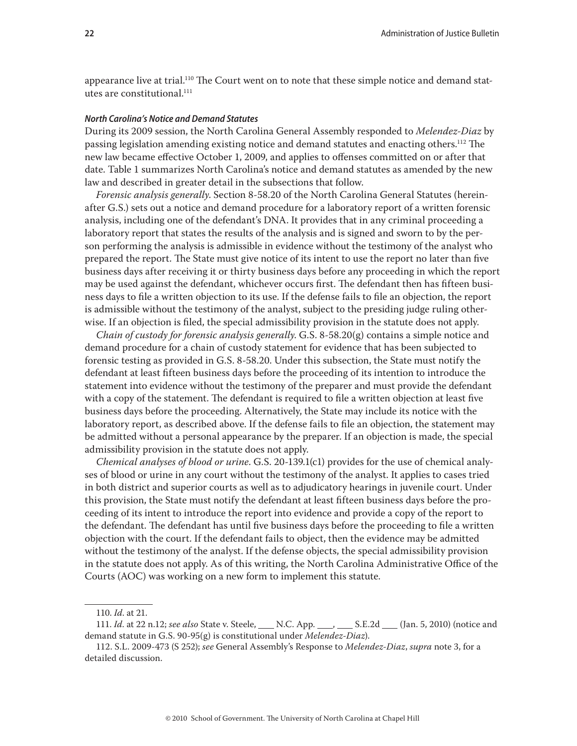<span id="page-21-0"></span>appearance live at trial.<sup>110</sup> The Court went on to note that these simple notice and demand statutes are constitutional.<sup>111</sup>

## *North Carolina's Notice and Demand Statutes*

During its 2009 session, the North Carolina General Assembly responded to *Melendez-Diaz* by passing legislation amending existing notice and demand statutes and enacting others.112 The new law became effective October 1, 2009, and applies to offenses committed on or after that date. Table 1 summarizes North Carolina's notice and demand statutes as amended by the new law and described in greater detail in the subsections that follow.

*Forensic analysis generally*. Section 8-58.20 of the North Carolina General Statutes (hereinafter G.S.) sets out a notice and demand procedure for a laboratory report of a written forensic analysis, including one of the defendant's DNA. It provides that in any criminal proceeding a laboratory report that states the results of the analysis and is signed and sworn to by the person performing the analysis is admissible in evidence without the testimony of the analyst who prepared the report. The State must give notice of its intent to use the report no later than five business days after receiving it or thirty business days before any proceeding in which the report may be used against the defendant, whichever occurs first. The defendant then has fifteen business days to file a written objection to its use. If the defense fails to file an objection, the report is admissible without the testimony of the analyst, subject to the presiding judge ruling otherwise. If an objection is filed, the special admissibility provision in the statute does not apply.

*Chain of custody for forensic analysis generally*. G.S. 8-58.20(g) contains a simple notice and demand procedure for a chain of custody statement for evidence that has been subjected to forensic testing as provided in G.S. 8-58.20. Under this subsection, the State must notify the defendant at least fifteen business days before the proceeding of its intention to introduce the statement into evidence without the testimony of the preparer and must provide the defendant with a copy of the statement. The defendant is required to file a written objection at least five business days before the proceeding. Alternatively, the State may include its notice with the laboratory report, as described above. If the defense fails to file an objection, the statement may be admitted without a personal appearance by the preparer. If an objection is made, the special admissibility provision in the statute does not apply.

*Chemical analyses of blood or urine*. G.S. 20-139.1(c1) provides for the use of chemical analyses of blood or urine in any court without the testimony of the analyst. It applies to cases tried in both district and superior courts as well as to adjudicatory hearings in juvenile court. Under this provision, the State must notify the defendant at least fifteen business days before the proceeding of its intent to introduce the report into evidence and provide a copy of the report to the defendant. The defendant has until five business days before the proceeding to file a written objection with the court. If the defendant fails to object, then the evidence may be admitted without the testimony of the analyst. If the defense objects, the special admissibility provision in the statute does not apply. As of this writing, the North Carolina Administrative Office of the Courts (AOC) was working on a new form to implement this statute.

<sup>110.</sup> *Id*. at 21.

<sup>111.</sup> *Id.* at 22 n.12; *see also* State v. Steele, \_\_\_\_ N.C. App. \_\_\_, \_\_\_ S.E.2d \_\_\_ (Jan. 5, 2010) (notice and demand statute in G.S. 90-95(g) is constitutional under *Melendez-Diaz*).

<sup>112.</sup> S.L. 2009-473 (S 252); *see* General Assembly's Response to *Melendez-Diaz*, *supra* note 3, for a detailed discussion.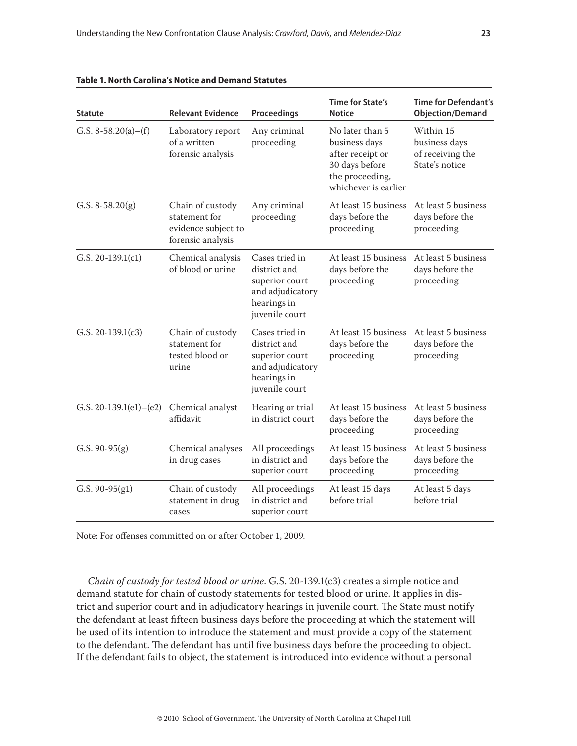| <b>Statute</b>             | <b>Relevant Evidence</b>                                                      | Proceedings                                                                                           | Time for State's<br><b>Notice</b>                                                                                 | <b>Time for Defendant's</b><br><b>Objection/Demand</b>           |
|----------------------------|-------------------------------------------------------------------------------|-------------------------------------------------------------------------------------------------------|-------------------------------------------------------------------------------------------------------------------|------------------------------------------------------------------|
| G.S. $8-58.20(a) - (f)$    | Laboratory report<br>of a written<br>forensic analysis                        | Any criminal<br>proceeding                                                                            | No later than 5<br>business days<br>after receipt or<br>30 days before<br>the proceeding,<br>whichever is earlier | Within 15<br>business days<br>of receiving the<br>State's notice |
| G.S. $8-58.20(g)$          | Chain of custody<br>statement for<br>evidence subject to<br>forensic analysis | Any criminal<br>proceeding                                                                            | At least 15 business<br>days before the<br>proceeding                                                             | At least 5 business<br>days before the<br>proceeding             |
| G.S. $20-139.1(c1)$        | Chemical analysis<br>of blood or urine                                        | Cases tried in<br>district and<br>superior court<br>and adjudicatory<br>hearings in<br>juvenile court | At least 15 business<br>days before the<br>proceeding                                                             | At least 5 business<br>days before the<br>proceeding             |
| G.S. $20-139.1(c3)$        | Chain of custody<br>statement for<br>tested blood or<br>urine                 | Cases tried in<br>district and<br>superior court<br>and adjudicatory<br>hearings in<br>juvenile court | At least 15 business<br>days before the<br>proceeding                                                             | At least 5 business<br>days before the<br>proceeding             |
| G.S. $20-139.1(e1) - (e2)$ | Chemical analyst<br>affidavit                                                 | Hearing or trial<br>in district court                                                                 | At least 15 business<br>days before the<br>proceeding                                                             | At least 5 business<br>days before the<br>proceeding             |
| G.S. $90-95(g)$            | Chemical analyses<br>in drug cases                                            | All proceedings<br>in district and<br>superior court                                                  | At least 15 business<br>days before the<br>proceeding                                                             | At least 5 business<br>days before the<br>proceeding             |
| G.S. $90-95(g1)$           | Chain of custody<br>statement in drug<br>cases                                | All proceedings<br>in district and<br>superior court                                                  | At least 15 days<br>before trial                                                                                  | At least 5 days<br>before trial                                  |

| Table 1. North Carolina's Notice and Demand Statutes |  |
|------------------------------------------------------|--|
|------------------------------------------------------|--|

Note: For offenses committed on or after October 1, 2009.

*Chain of custody for tested blood or urine*. G.S. 20-139.1(c3) creates a simple notice and demand statute for chain of custody statements for tested blood or urine. It applies in district and superior court and in adjudicatory hearings in juvenile court. The State must notify the defendant at least fifteen business days before the proceeding at which the statement will be used of its intention to introduce the statement and must provide a copy of the statement to the defendant. The defendant has until five business days before the proceeding to object. If the defendant fails to object, the statement is introduced into evidence without a personal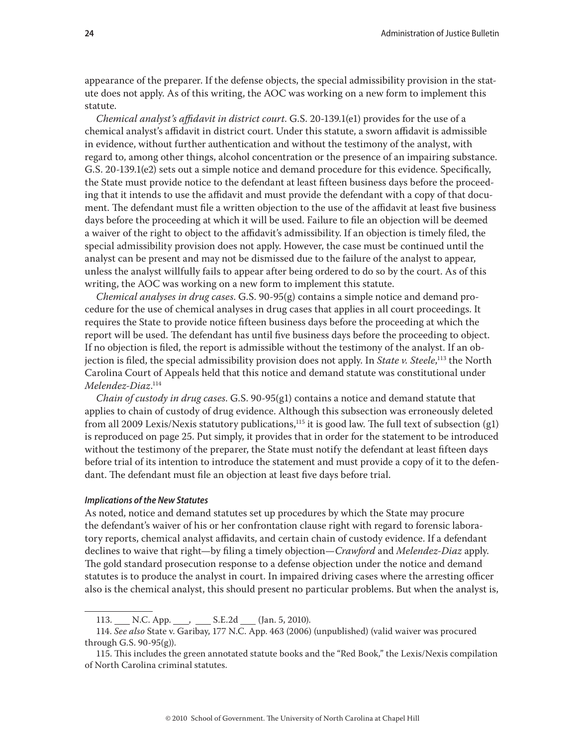appearance of the preparer. If the defense objects, the special admissibility provision in the statute does not apply. As of this writing, the AOC was working on a new form to implement this statute.

*Chemical analyst's affidavit in district court*. G.S. 20-139.1(e1) provides for the use of a chemical analyst's affidavit in district court. Under this statute, a sworn affidavit is admissible in evidence, without further authentication and without the testimony of the analyst, with regard to, among other things, alcohol concentration or the presence of an impairing substance. G.S. 20-139.1(e2) sets out a simple notice and demand procedure for this evidence. Specifically, the State must provide notice to the defendant at least fifteen business days before the proceeding that it intends to use the affidavit and must provide the defendant with a copy of that document. The defendant must file a written objection to the use of the affidavit at least five business days before the proceeding at which it will be used. Failure to file an objection will be deemed a waiver of the right to object to the affidavit's admissibility. If an objection is timely filed, the special admissibility provision does not apply. However, the case must be continued until the analyst can be present and may not be dismissed due to the failure of the analyst to appear, unless the analyst willfully fails to appear after being ordered to do so by the court. As of this writing, the AOC was working on a new form to implement this statute.

*Chemical analyses in drug cases*. G.S. 90-95(g) contains a simple notice and demand procedure for the use of chemical analyses in drug cases that applies in all court proceedings. It requires the State to provide notice fifteen business days before the proceeding at which the report will be used. The defendant has until five business days before the proceeding to object. If no objection is filed, the report is admissible without the testimony of the analyst. If an objection is filed, the special admissibility provision does not apply. In *State v. Steele*, 113 the North Carolina Court of Appeals held that this notice and demand statute was constitutional under *Melendez-Diaz*. 114

*Chain of custody in drug cases*. G.S. 90-95(g1) contains a notice and demand statute that applies to chain of custody of drug evidence. Although this subsection was erroneously deleted from all 2009 Lexis/Nexis statutory publications,<sup>115</sup> it is good law. The full text of subsection (g1) is reproduced on page 25. Put simply, it provides that in order for the statement to be introduced without the testimony of the preparer, the State must notify the defendant at least fifteen days before trial of its intention to introduce the statement and must provide a copy of it to the defendant. The defendant must file an objection at least five days before trial.

#### *Implications of the New Statutes*

As noted, notice and demand statutes set up procedures by which the State may procure the defendant's waiver of his or her confrontation clause right with regard to forensic laboratory reports, chemical analyst affidavits, and certain chain of custody evidence. If a defendant declines to waive that right—by filing a timely objection—*Crawford* and *Melendez-Diaz* apply. The gold standard prosecution response to a defense objection under the notice and demand statutes is to produce the analyst in court. In impaired driving cases where the arresting officer also is the chemical analyst, this should present no particular problems. But when the analyst is,

<sup>113.</sup> N.C. App. S.E.2d (Jan. 5, 2010).

<sup>114.</sup> *See also* State v. Garibay, 177 N.C. App. 463 (2006) (unpublished) (valid waiver was procured through G.S. 90-95(g)).

<sup>115.</sup> This includes the green annotated statute books and the "Red Book," the Lexis/Nexis compilation of North Carolina criminal statutes.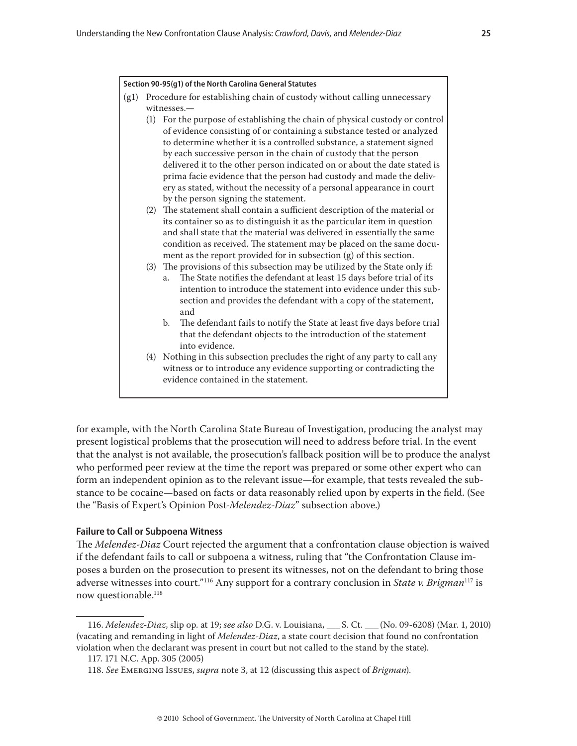#### <span id="page-24-0"></span>**Section 90-95(g1) of the North Carolina General Statutes**

- (g1) Procedure for establishing chain of custody without calling unnecessary witnesses.—
	- (1) For the purpose of establishing the chain of physical custody or control of evidence consisting of or containing a substance tested or analyzed to determine whether it is a controlled substance, a statement signed by each successive person in the chain of custody that the person delivered it to the other person indicated on or about the date stated is prima facie evidence that the person had custody and made the delivery as stated, without the necessity of a personal appearance in court by the person signing the statement.
	- (2) The statement shall contain a sufficient description of the material or its container so as to distinguish it as the particular item in question and shall state that the material was delivered in essentially the same condition as received. The statement may be placed on the same document as the report provided for in subsection (g) of this section.
	- (3) The provisions of this subsection may be utilized by the State only if:
		- a. The State notifies the defendant at least 15 days before trial of its intention to introduce the statement into evidence under this subsection and provides the defendant with a copy of the statement, and
		- b. The defendant fails to notify the State at least five days before trial that the defendant objects to the introduction of the statement into evidence.
	- (4) Nothing in this subsection precludes the right of any party to call any witness or to introduce any evidence supporting or contradicting the evidence contained in the statement.

for example, with the North Carolina State Bureau of Investigation, producing the analyst may present logistical problems that the prosecution will need to address before trial. In the event that the analyst is not available, the prosecution's fallback position will be to produce the analyst who performed peer review at the time the report was prepared or some other expert who can form an independent opinion as to the relevant issue—for example, that tests revealed the substance to be cocaine—based on facts or data reasonably relied upon by experts in the field. (See the "Basis of Expert's Opinion Post-*Melendez-Diaz*" subsection above.)

## **Failure to Call or Subpoena Witness**

The *Melendez-Diaz* Court rejected the argument that a confrontation clause objection is waived if the defendant fails to call or subpoena a witness, ruling that "the Confrontation Clause imposes a burden on the prosecution to present its witnesses, not on the defendant to bring those adverse witnesses into court."116 Any support for a contrary conclusion in *State v. Brigman*117 is now questionable.<sup>118</sup>

<sup>116.</sup> *Melendez-Diaz*, slip op. at 19; *see also* D.G. v. Louisiana, \_\_\_ S. Ct. \_\_\_ (No. 09-6208) (Mar. 1, 2010) (vacating and remanding in light of *Melendez-Diaz*, a state court decision that found no confrontation violation when the declarant was present in court but not called to the stand by the state).

<sup>117. 171</sup> N.C. App. 305 (2005)

<sup>118.</sup> *See* Emerging Issues, *supra* note 3, at 12 (discussing this aspect of *Brigman*).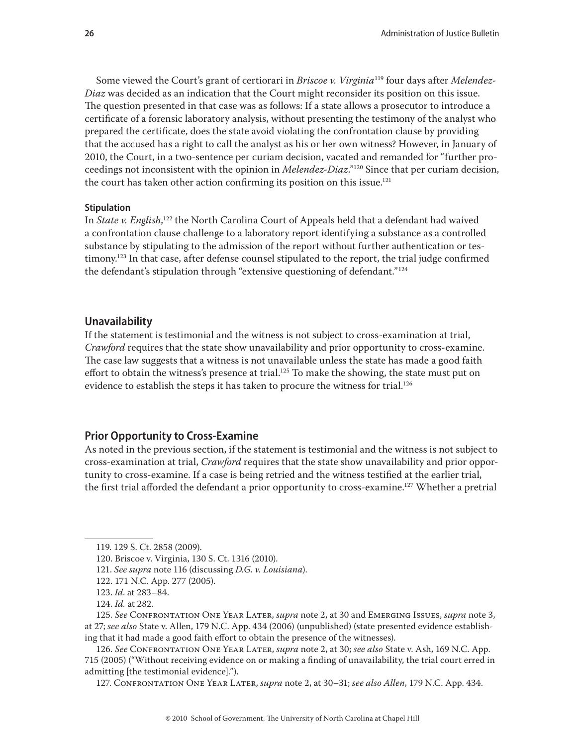<span id="page-25-0"></span>Some viewed the Court's grant of certiorari in *Briscoe v. Virginia*119 four days after *Melendez-Diaz* was decided as an indication that the Court might reconsider its position on this issue. The question presented in that case was as follows: If a state allows a prosecutor to introduce a certificate of a forensic laboratory analysis, without presenting the testimony of the analyst who prepared the certificate, does the state avoid violating the confrontation clause by providing that the accused has a right to call the analyst as his or her own witness? However, in January of 2010, the Court, in a two-sentence per curiam decision, vacated and remanded for "further proceedings not inconsistent with the opinion in *Melendez-Diaz*."120 Since that per curiam decision, the court has taken other action confirming its position on this issue.<sup>121</sup>

## **Stipulation**

In *State v. English*, 122 the North Carolina Court of Appeals held that a defendant had waived a confrontation clause challenge to a laboratory report identifying a substance as a controlled substance by stipulating to the admission of the report without further authentication or testimony.<sup>123</sup> In that case, after defense counsel stipulated to the report, the trial judge confirmed the defendant's stipulation through "extensive questioning of defendant."124

## **Unavailability**

If the statement is testimonial and the witness is not subject to cross-examination at trial, *Crawford* requires that the state show unavailability and prior opportunity to cross-examine. The case law suggests that a witness is not unavailable unless the state has made a good faith effort to obtain the witness's presence at trial.<sup>125</sup> To make the showing, the state must put on evidence to establish the steps it has taken to procure the witness for trial.<sup>126</sup>

# **Prior Opportunity to Cross-Examine**

As noted in the previous section, if the statement is testimonial and the witness is not subject to cross-examination at trial, *Crawford* requires that the state show unavailability and prior opportunity to cross-examine. If a case is being retried and the witness testified at the earlier trial, the first trial afforded the defendant a prior opportunity to cross-examine.<sup>127</sup> Whether a pretrial

127. Confrontation One Year Later, *supra* note 2, at 30–31; *see also Allen*, 179 N.C. App. 434.

<sup>119. 129</sup> S. Ct. 2858 (2009).

<sup>120.</sup> Briscoe v. Virginia, 130 S. Ct. 1316 (2010).

<sup>121.</sup> *See supra* note 116 (discussing *D.G. v. Louisiana*).

<sup>122. 171</sup> N.C. App. 277 (2005).

<sup>123.</sup> *Id*. at 283–84.

<sup>124.</sup> *Id.* at 282.

<sup>125.</sup> *See* Confrontation One Year Later, *supra* note 2, at 30 and Emerging Issues, *supra* note 3, at 27; *see also* State v. Allen, 179 N.C. App. 434 (2006) (unpublished) (state presented evidence establishing that it had made a good faith effort to obtain the presence of the witnesses).

<sup>126.</sup> *See* Confrontation One Year Later, *supra* note 2, at 30; *see also* State v. Ash, 169 N.C. App. 715 (2005) ("Without receiving evidence on or making a finding of unavailability, the trial court erred in admitting [the testimonial evidence].").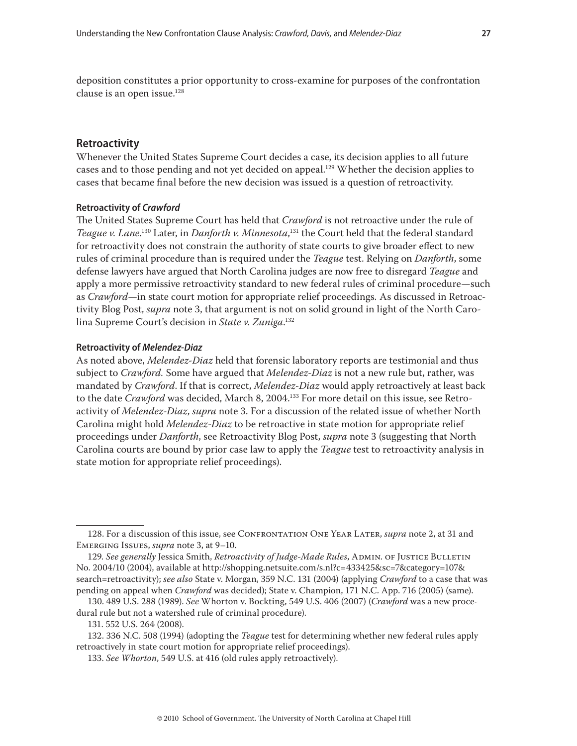<span id="page-26-0"></span>deposition constitutes a prior opportunity to cross-examine for purposes of the confrontation clause is an open issue.<sup>128</sup>

## **Retroactivity**

Whenever the United States Supreme Court decides a case, its decision applies to all future cases and to those pending and not yet decided on appeal.<sup>129</sup> Whether the decision applies to cases that became final before the new decision was issued is a question of retroactivity.

## **Retroactivity of** *Crawford*

The United States Supreme Court has held that *Crawford* is not retroactive under the rule of *Teague v. Lane*. 130 Later, in *Danforth v. Minnesota*, 131 the Court held that the federal standard for retroactivity does not constrain the authority of state courts to give broader effect to new rules of criminal procedure than is required under the *Teague* test. Relying on *Danforth*, some defense lawyers have argued that North Carolina judges are now free to disregard *Teague* and apply a more permissive retroactivity standard to new federal rules of criminal procedure*—*such as *Crawford—*in state court motion for appropriate relief proceedings*.* As discussed in Retroactivity Blog Post, *supra* note 3, that argument is not on solid ground in light of the North Carolina Supreme Court's decision in *State v. Zuniga*. 132

#### **Retroactivity of** *Melendez-Diaz*

As noted above, *Melendez-Diaz* held that forensic laboratory reports are testimonial and thus subject to *Crawford.* Some have argued that *Melendez-Diaz* is not a new rule but, rather, was mandated by *Crawford*. If that is correct, *Melendez-Diaz* would apply retroactively at least back to the date *Crawford* was decided, March 8, 2004.133 For more detail on this issue, see Retroactivity of *Melendez-Diaz*, *supra* note 3. For a discussion of the related issue of whether North Carolina might hold *Melendez-Diaz* to be retroactive in state motion for appropriate relief proceedings under *Danforth*, see Retroactivity Blog Post, *supra* note 3 (suggesting that North Carolina courts are bound by prior case law to apply the *Teague* test to retroactivity analysis in state motion for appropriate relief proceedings).

<sup>128.</sup> For a discussion of this issue, see CONFRONTATION ONE YEAR LATER, *supra* note 2, at 31 and Emerging Issues, *supra* note 3, at 9–10.

<sup>129.</sup> See generally Jessica Smith, *Retroactivity of Judge-Made Rules*, ADMIN. OF JUSTICE BULLETIN No. 2004/10 (2004), available at http://shopping.netsuite.com/s.nl?c=433425&sc=7&category=107& search=retroactivity); *see also* State v. Morgan, 359 N.C. 131 (2004) (applying *Crawford* to a case that was pending on appeal when *Crawford* was decided); State v. Champion, 171 N.C. App. 716 (2005) (same).

<sup>130. 489</sup> U.S. 288 (1989). *See* Whorton v. Bockting, 549 U.S. 406 (2007) (*Crawford* was a new procedural rule but not a watershed rule of criminal procedure).

<sup>131. 552</sup> U.S. 264 (2008).

<sup>132. 336</sup> N.C. 508 (1994) (adopting the *Teague* test for determining whether new federal rules apply retroactively in state court motion for appropriate relief proceedings).

<sup>133.</sup> *See Whorton*, 549 U.S. at 416 (old rules apply retroactively).